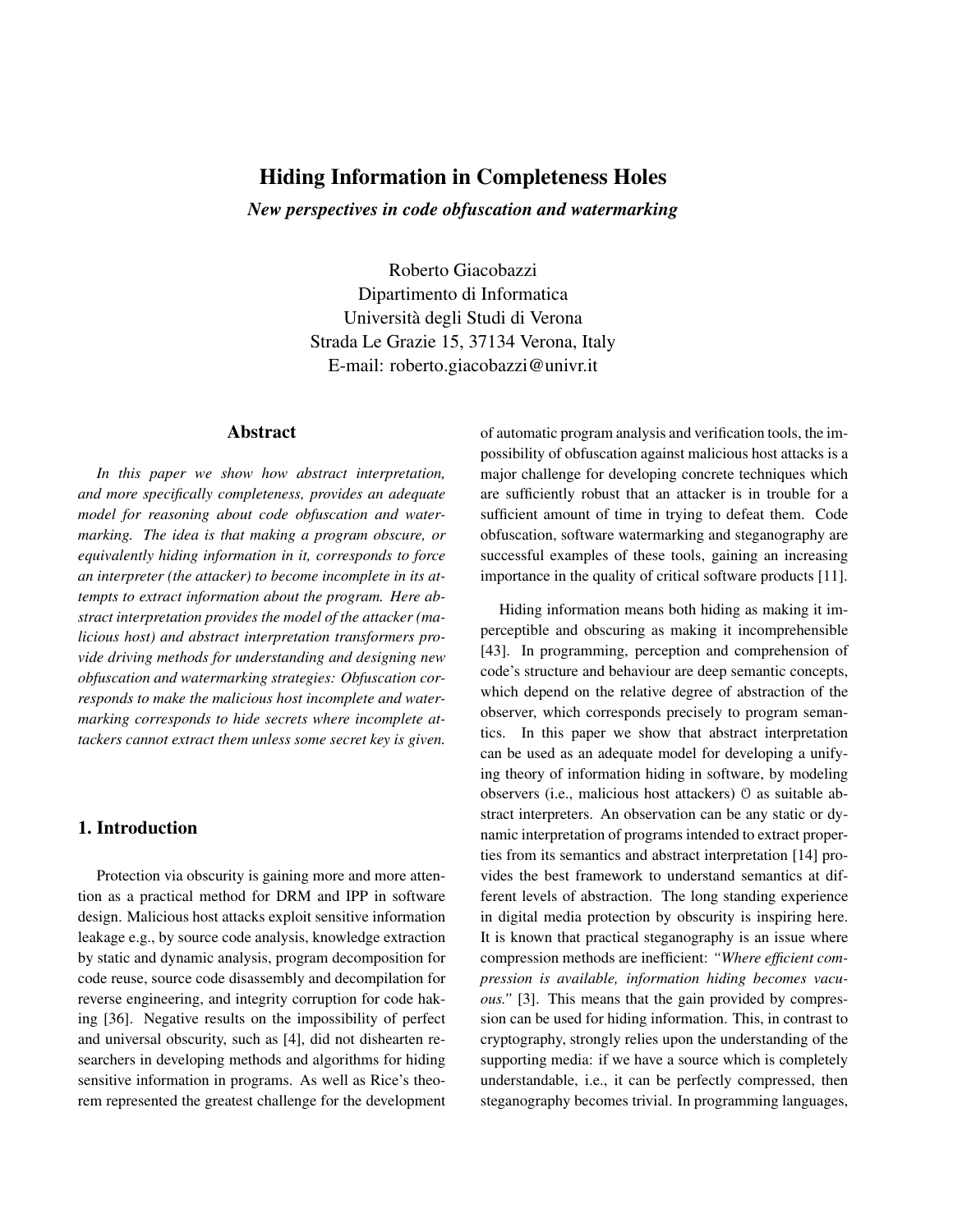# Hiding Information in Completeness Holes

*New perspectives in code obfuscation and watermarking*

Roberto Giacobazzi Dipartimento di Informatica Universita degli Studi di Verona ` Strada Le Grazie 15, 37134 Verona, Italy E-mail: roberto.giacobazzi@univr.it

# **Abstract**

*In this paper we show how abstract interpretation, and more specifically completeness, provides an adequate model for reasoning about code obfuscation and watermarking. The idea is that making a program obscure, or equivalently hiding information in it, corresponds to force an interpreter (the attacker) to become incomplete in its attempts to extract information about the program. Here abstract interpretation provides the model of the attacker (malicious host) and abstract interpretation transformers provide driving methods for understanding and designing new obfuscation and watermarking strategies: Obfuscation corresponds to make the malicious host incomplete and watermarking corresponds to hide secrets where incomplete attackers cannot extract them unless some secret key is given.*

# 1. Introduction

Protection via obscurity is gaining more and more attention as a practical method for DRM and IPP in software design. Malicious host attacks exploit sensitive information leakage e.g., by source code analysis, knowledge extraction by static and dynamic analysis, program decomposition for code reuse, source code disassembly and decompilation for reverse engineering, and integrity corruption for code haking [36]. Negative results on the impossibility of perfect and universal obscurity, such as [4], did not dishearten researchers in developing methods and algorithms for hiding sensitive information in programs. As well as Rice's theorem represented the greatest challenge for the development of automatic program analysis and verification tools, the impossibility of obfuscation against malicious host attacks is a major challenge for developing concrete techniques which are sufficiently robust that an attacker is in trouble for a sufficient amount of time in trying to defeat them. Code obfuscation, software watermarking and steganography are successful examples of these tools, gaining an increasing importance in the quality of critical software products [11].

Hiding information means both hiding as making it imperceptible and obscuring as making it incomprehensible [43]. In programming, perception and comprehension of code's structure and behaviour are deep semantic concepts, which depend on the relative degree of abstraction of the observer, which corresponds precisely to program semantics. In this paper we show that abstract interpretation can be used as an adequate model for developing a unifying theory of information hiding in software, by modeling observers (i.e., malicious host attackers) O as suitable abstract interpreters. An observation can be any static or dynamic interpretation of programs intended to extract properties from its semantics and abstract interpretation [14] provides the best framework to understand semantics at different levels of abstraction. The long standing experience in digital media protection by obscurity is inspiring here. It is known that practical steganography is an issue where compression methods are inefficient: *"Where efficient compression is available, information hiding becomes vacuous."* [3]. This means that the gain provided by compression can be used for hiding information. This, in contrast to cryptography, strongly relies upon the understanding of the supporting media: if we have a source which is completely understandable, i.e., it can be perfectly compressed, then steganography becomes trivial. In programming languages,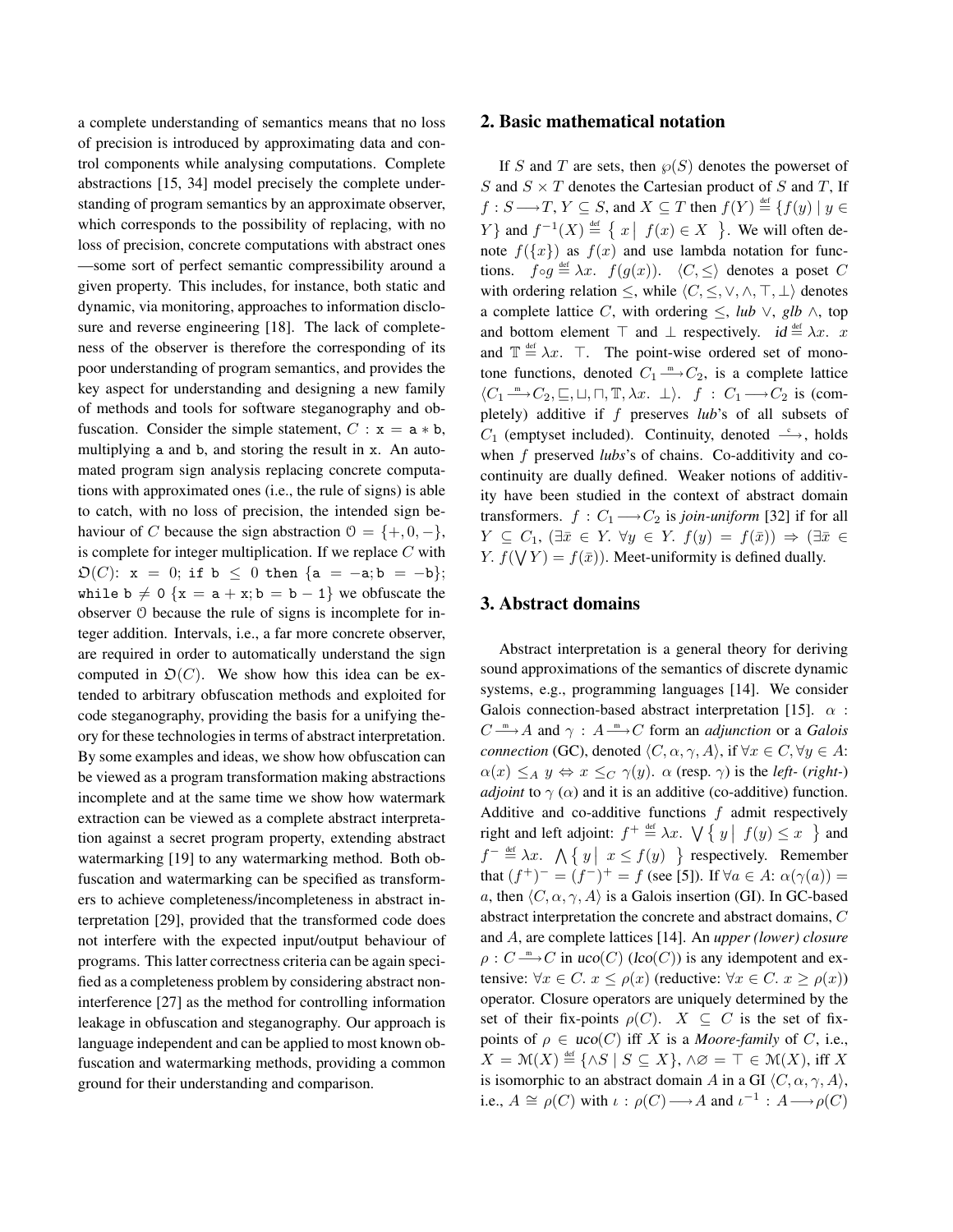a complete understanding of semantics means that no loss of precision is introduced by approximating data and control components while analysing computations. Complete abstractions [15, 34] model precisely the complete understanding of program semantics by an approximate observer, which corresponds to the possibility of replacing, with no loss of precision, concrete computations with abstract ones —some sort of perfect semantic compressibility around a given property. This includes, for instance, both static and dynamic, via monitoring, approaches to information disclosure and reverse engineering [18]. The lack of completeness of the observer is therefore the corresponding of its poor understanding of program semantics, and provides the key aspect for understanding and designing a new family of methods and tools for software steganography and obfuscation. Consider the simple statement,  $C : x = a * b$ , multiplying a and b, and storing the result in x. An automated program sign analysis replacing concrete computations with approximated ones (i.e., the rule of signs) is able to catch, with no loss of precision, the intended sign behaviour of C because the sign abstraction  $0 = \{+, 0, -\},\$ is complete for integer multiplication. If we replace  $C$  with  $\mathfrak{O}(C)$ : x = 0; if b  $\leq$  0 then {a = -a; b = -b}; while  $b \neq 0$  { $x = a + x$ ;  $b = b - 1$ } we obfuscate the observer O because the rule of signs is incomplete for integer addition. Intervals, i.e., a far more concrete observer, are required in order to automatically understand the sign computed in  $\mathfrak{O}(C)$ . We show how this idea can be extended to arbitrary obfuscation methods and exploited for code steganography, providing the basis for a unifying theory for these technologies in terms of abstract interpretation. By some examples and ideas, we show how obfuscation can be viewed as a program transformation making abstractions incomplete and at the same time we show how watermark extraction can be viewed as a complete abstract interpretation against a secret program property, extending abstract watermarking [19] to any watermarking method. Both obfuscation and watermarking can be specified as transformers to achieve completeness/incompleteness in abstract interpretation [29], provided that the transformed code does not interfere with the expected input/output behaviour of programs. This latter correctness criteria can be again specified as a completeness problem by considering abstract noninterference [27] as the method for controlling information leakage in obfuscation and steganography. Our approach is language independent and can be applied to most known obfuscation and watermarking methods, providing a common ground for their understanding and comparison.

### 2. Basic mathematical notation

If S and T are sets, then  $\wp(S)$  denotes the powerset of S and  $S \times T$  denotes the Cartesian product of S and T, If  $f: S \longrightarrow T$ ,  $Y \subseteq S$ , and  $X \subseteq T$  then  $f(Y) \stackrel{\text{def}}{=} \{f(y) \mid y \in Y\}$ Y } and  $f^{-1}(X) \stackrel{\text{def}}{=} \{x \mid f(x) \in X \}$ . We will often denote  $f({x})$  as  $f(x)$  and use lambda notation for functions.  $f \circ g \stackrel{\text{def}}{=} \lambda x$ .  $f(g(x))$ .  $\langle C, \leq \rangle$  denotes a poset C with ordering relation  $\leq$ , while  $\langle C, \leq, \vee, \wedge, \top, \bot \rangle$  denotes a complete lattice C, with ordering  $\leq$ , *lub*  $\vee$ , *glb*  $\wedge$ , top and bottom element  $\top$  and  $\bot$  respectively. id  $\stackrel{\text{def}}{=} \lambda x$ . x and  $\mathbb{T} \stackrel{\text{def}}{=} \lambda x$ . T. The point-wise ordered set of monotone functions, denoted  $C_1 \xrightarrow{m} C_2$ , is a complete lattice  $\langle C_1 \stackrel{m}{\longrightarrow} C_2, \sqsubseteq, \sqcup, \sqcap, \mathbb{T}, \lambda x. \perp \rangle$ .  $f : C_1 \longrightarrow C_2$  is (completely) additive if f preserves *lub*'s of all subsets of  $C_1$  (emptyset included). Continuity, denoted  $\stackrel{\circ}{\longrightarrow}$ , holds when f preserved *lubs*'s of chains. Co-additivity and cocontinuity are dually defined. Weaker notions of additivity have been studied in the context of abstract domain transformers.  $f: C_1 \longrightarrow C_2$  is *join-uniform* [32] if for all  $Y \subseteq C_1$ ,  $(\exists \bar{x} \in Y \forall y \in Y \forall y \in Y \forall (y) = f(\bar{x})) \Rightarrow (\exists \bar{x} \in Y \forall y \in Y \forall y \in Y \forall (y) = f(\bar{x}))$ Y.  $f(\bigvee Y) = f(\overline{x})$ . Meet-uniformity is defined dually.

### 3. Abstract domains

Abstract interpretation is a general theory for deriving sound approximations of the semantics of discrete dynamic systems, e.g., programming languages [14]. We consider Galois connection-based abstract interpretation [15].  $\alpha$ :  $C \longrightarrow A$  and  $\gamma : A \longrightarrow C$  form an *adjunction* or a *Galois connection* (GC), denoted  $\langle C, \alpha, \gamma, A \rangle$ , if  $\forall x \in C, \forall y \in A$ :  $\alpha(x) \leq_A y \Leftrightarrow x \leq_C \gamma(y)$ .  $\alpha$  (resp.  $\gamma$ ) is the *left-* (*right-*) *adjoint* to  $\gamma(\alpha)$  and it is an additive (co-additive) function. Additive and co-additive functions  $f$  admit respectively right and left adjoint:  $f^+ \stackrel{\text{def}}{=} \lambda x$ .  $\bigvee \{ y \mid f(y) \leq x \}$  and  $f^{-} \stackrel{\text{def}}{=} \lambda x. \quad \bigwedge \{ y \mid x \le f(y) \}$  respectively. Remember that  $(f^+)^- = (f^-)^+ = f$  (see [5]). If  $\forall a \in A$ :  $\alpha(\gamma(a)) =$ a, then  $\langle C, \alpha, \gamma, A \rangle$  is a Galois insertion (GI). In GC-based abstract interpretation the concrete and abstract domains, C and A, are complete lattices [14]. An *upper (lower) closure*  $\rho: C \longrightarrow C$  in  $uco(C)$  ( $lco(C)$ ) is any idempotent and extensive:  $\forall x \in C$ .  $x \leq \rho(x)$  (reductive:  $\forall x \in C$ .  $x \geq \rho(x)$ ) operator. Closure operators are uniquely determined by the set of their fix-points  $\rho(C)$ .  $X \subseteq C$  is the set of fixpoints of  $\rho \in uco(C)$  iff X is a *Moore-family* of C, i.e.,  $X = \mathcal{M}(X) \stackrel{\text{def}}{=} {\{\land S \mid S \subseteq X\}}$ ,  $\land \varnothing = \top \in \mathcal{M}(X)$ , iff X is isomorphic to an abstract domain A in a GI  $\langle C, \alpha, \gamma, A \rangle$ , i.e.,  $A \cong \rho(C)$  with  $\iota : \rho(C) \longrightarrow A$  and  $\iota^{-1} : A \longrightarrow \rho(C)$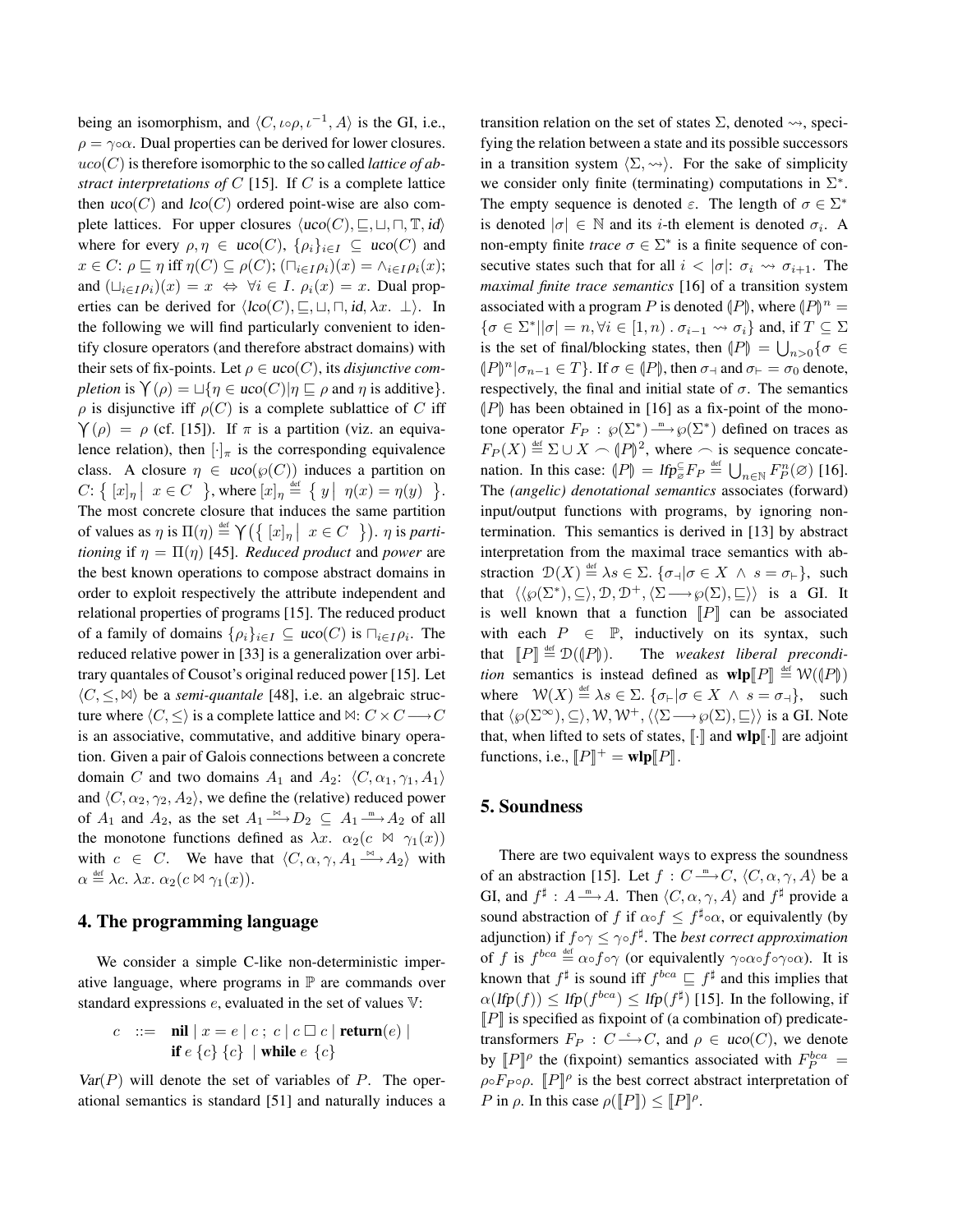being an isomorphism, and  $\langle C, \iota \circ \rho, \iota^{-1}, A \rangle$  is the GI, i.e.,  $\rho = \gamma \circ \alpha$ . Dual properties can be derived for lower closures. uco(C) is therefore isomorphic to the so called *lattice of abstract interpretations of* C [15]. If C is a complete lattice then  $uco(C)$  and  $lco(C)$  ordered point-wise are also complete lattices. For upper closures  $\langle u\text{co}(C), \square, \square, \square, \top, \exists d \rangle$ where for every  $\rho, \eta \in uco(C), \{\rho_i\}_{i \in I} \subseteq uco(C)$  and  $x \in C$ :  $\rho \sqsubseteq \eta$  iff  $\eta(C) \subseteq \rho(C)$ ;  $(\bigcap_{i \in I} \rho_i)(x) = \bigwedge_{i \in I} \rho_i(x)$ ; and  $(\sqcup_{i\in I}\rho_i)(x) = x \Leftrightarrow \forall i \in I$ .  $\rho_i(x) = x$ . Dual properties can be derived for  $\langle loc(C), \sqsubseteq, \sqcup, \sqcap, id, \lambda x. \perp \rangle$ . In the following we will find particularly convenient to identify closure operators (and therefore abstract domains) with their sets of fix-points. Let  $\rho \in uco(C)$ , its *disjunctive completion* is  $\gamma(\rho) = \sqcup \{ \eta \in uco(C) | \eta \sqsubseteq \rho \text{ and } \eta \text{ is additive} \}.$  $\rho$  is disjunctive iff  $\rho(C)$  is a complete sublattice of C iff  $\Upsilon(\rho) = \rho$  (cf. [15]). If  $\pi$  is a partition (viz. an equivalence relation), then  $[\cdot]_{\pi}$  is the corresponding equivalence class. A closure  $\eta \in uco(\wp(C))$  induces a partition on  $C: \{ [x]_{\eta} \mid x \in C \}$ , where  $[x]_{\eta} \stackrel{\text{def}}{=} \{ y \mid \eta(x) = \eta(y) \}$ . The most concrete closure that induces the same partition of values as  $\eta$  is  $\Pi(\eta) \stackrel{\text{def}}{=} \Upsilon(\{ [x]_{\eta} \mid x \in C \})$ .  $\eta$  is *partitioning* if  $\eta = \Pi(\eta)$  [45]. *Reduced product* and *power* are the best known operations to compose abstract domains in order to exploit respectively the attribute independent and relational properties of programs [15]. The reduced product of a family of domains  $\{\rho_i\}_{i\in I} \subseteq uco(C)$  is  $\sqcap_{i\in I}\rho_i$ . The reduced relative power in [33] is a generalization over arbitrary quantales of Cousot's original reduced power [15]. Let  $\langle C, \leq, \bowtie \rangle$  be a *semi-quantale* [48], i.e. an algebraic structure where  $\langle C, \leq \rangle$  is a complete lattice and  $\forall x: C \rightarrow C$ is an associative, commutative, and additive binary operation. Given a pair of Galois connections between a concrete domain C and two domains  $A_1$  and  $A_2$ :  $\langle C, \alpha_1, \gamma_1, A_1 \rangle$ and  $\langle C, \alpha_2, \gamma_2, A_2 \rangle$ , we define the (relative) reduced power of  $A_1$  and  $A_2$ , as the set  $A_1 \stackrel{\bowtie}{\longrightarrow} D_2 \subseteq A_1 \stackrel{\text{m}}{\longrightarrow} A_2$  of all the monotone functions defined as  $\lambda x$ .  $\alpha_2(c \bowtie \gamma_1(x))$ with  $c \in C$ . We have that  $\langle C, \alpha, \gamma, A_1 \xrightarrow{\bowtie} A_2 \rangle$  with  $\alpha \stackrel{\text{def}}{=} \lambda c. \lambda x. \alpha_2(c \boxtimes \gamma_1(x)).$ 

# 4. The programming language

We consider a simple C-like non-deterministic imperative language, where programs in  $\mathbb P$  are commands over standard expressions  $e$ , evaluated in the set of values  $\nabla$ :

$$
c ::= \n \n \begin{array}{ll}\n \text{nil} \mid x = e \mid c \, ; \, c \mid c \, \square \, c \mid \n \text{return}(e) \\
 \n \text{if } e \{c\} \{c\} \mid \n \text{while } e \{c\}\n \end{array}
$$

 $Var(P)$  will denote the set of variables of P. The operational semantics is standard [51] and naturally induces a transition relation on the set of states  $\Sigma$ , denoted  $\rightsquigarrow$ , specifying the relation between a state and its possible successors in a transition system  $\langle \Sigma, \leadsto \rangle$ . For the sake of simplicity we consider only finite (terminating) computations in  $\Sigma^*$ . The empty sequence is denoted  $\varepsilon$ . The length of  $\sigma \in \Sigma^*$ is denoted  $|\sigma| \in \mathbb{N}$  and its *i*-th element is denoted  $\sigma_i$ . A non-empty finite *trace*  $\sigma \in \Sigma^*$  is a finite sequence of consecutive states such that for all  $i < |\sigma|$ :  $\sigma_i \leadsto \sigma_{i+1}$ . The *maximal finite trace semantics* [16] of a transition system associated with a program P is denoted  $(P)$ , where  $(P)^n =$  $\{\sigma \in \Sigma^* | |\sigma| = n, \forall i \in [1, n) \cdot \sigma_{i-1} \leadsto \sigma_i\}$  and, if  $T \subseteq \Sigma$ is the set of final/blocking states, then  $(P) = \bigcup_{n>0} {\sigma \in$  $\left(\{P\}^n | \sigma_{n-1} \in T\right\}$ . If  $\sigma \in \{P\}$ , then  $\sigma_{\neg}$  and  $\sigma_{\vdash} = \sigma_0$  denote, respectively, the final and initial state of  $\sigma$ . The semantics  $\langle P \rangle$  has been obtained in [16] as a fix-point of the monotone operator  $F_P$ :  $\wp(\Sigma^*) \longrightarrow \wp(\Sigma^*)$  defined on traces as  $F_P(X) \stackrel{\text{def}}{=} \Sigma \cup X \sim (P)^2$ , where  $\sim$  is sequence concate-<br>nation. In this second  $P_1^{\text{b}}$ ,  $E_2 \subseteq E$ ,  $\frac{\text{def}}{=} 1 + E_R(\alpha)$ , 142 nation. In this case:  $\langle P \rangle = lfp_{\mathcal{F}}^{\subseteq}F_P \stackrel{\text{def}}{=} \bigcup_{n \in \mathbb{N}} F_P^n(\varnothing)$  [16]. The *(angelic) denotational semantics* associates (forward) input/output functions with programs, by ignoring nontermination. This semantics is derived in [13] by abstract interpretation from the maximal trace semantics with abstraction  $\mathcal{D}(X) \stackrel{\text{def}}{=} \lambda s \in \Sigma$ .  $\{\sigma_{\dashv} | \sigma \in X \land s = \sigma_{\vdash}\},\$  such that  $\langle \langle \wp(\Sigma^*), \subseteq \rangle, \mathcal{D}, \mathcal{D}^+, \langle \Sigma \longrightarrow \wp(\Sigma), \subseteq \rangle \rangle$  is a GI. It is well known that a function  $\llbracket P \rrbracket$  can be associated with each  $P \in \mathbb{P}$ , inductively on its syntax, such that  $[|P] \triangleq \mathcal{D}(|P|)$ . The *weakest liberal precondition* semantics is instead defined as  $\mathbf{wlp}[P] \stackrel{\text{def}}{=} \mathcal{W}(\langle P \rangle)$ where  $W(X) \stackrel{\text{def}}{=} \lambda s \in \Sigma$ .  $\{\sigma \mid |\sigma \in X \land s = \sigma_{\dashv}\}\)$ , such that  $\langle \wp(\Sigma^{\infty}), \subseteq \rangle$ , W, W<sup>+</sup>,  $\langle \langle \Sigma \longrightarrow \wp(\Sigma), \subseteq \rangle$  is a GI. Note that, when lifted to sets of states,  $\lbrack \cdot \rbrack$  and  $\textbf{wlp}[\cdot]$  are adjoint functions, i.e.,  $||P||^+ = \text{wlp}||P||$ .

# 5. Soundness

There are two equivalent ways to express the soundness of an abstraction [15]. Let  $f: C \longrightarrow C$ ,  $\langle C, \alpha, \gamma, A \rangle$  be a GI, and  $f^{\sharp}: A \longrightarrow A$ . Then  $\langle C, \alpha, \gamma, A \rangle$  and  $f^{\sharp}$  provide a sound abstraction of f if  $\alpha \circ f \leq f^{\sharp} \circ \alpha$ , or equivalently (by adjunction) if  $f \circ \gamma \leq \gamma \circ f^{\sharp}$ . The *best correct approximation* of f is  $f^{bca} \stackrel{\text{def}}{=} \alpha \circ f \circ \gamma$  (or equivalently  $\gamma \circ \alpha \circ f \circ \gamma \circ \alpha$ ). It is known that  $f^{\sharp}$  is sound iff  $f^{bca} \sqsubseteq f^{\sharp}$  and this implies that  $\alpha(lfp(f)) \leq lfp(f^{bca}) \leq lfp(f^{\sharp})$  [15]. In the following, if  $\llbracket P \rrbracket$  is specified as fixpoint of (a combination of) predicatetransformers  $F_P$ :  $C \rightarrow C$ , and  $\rho \in uco(C)$ , we denote by  $[P]$ <sup> $\rho$ </sup> the (fixpoint) semantics associated with  $F_P^{bca}$  =  $\rho \circ F_P \circ \rho$ . [P]<sup> $\rho$ </sup> is the best correct abstract interpretation of *P* in  $\rho$ . In this case  $\rho(\llbracket P \rrbracket) \leq \llbracket P \rrbracket^{\rho}$ .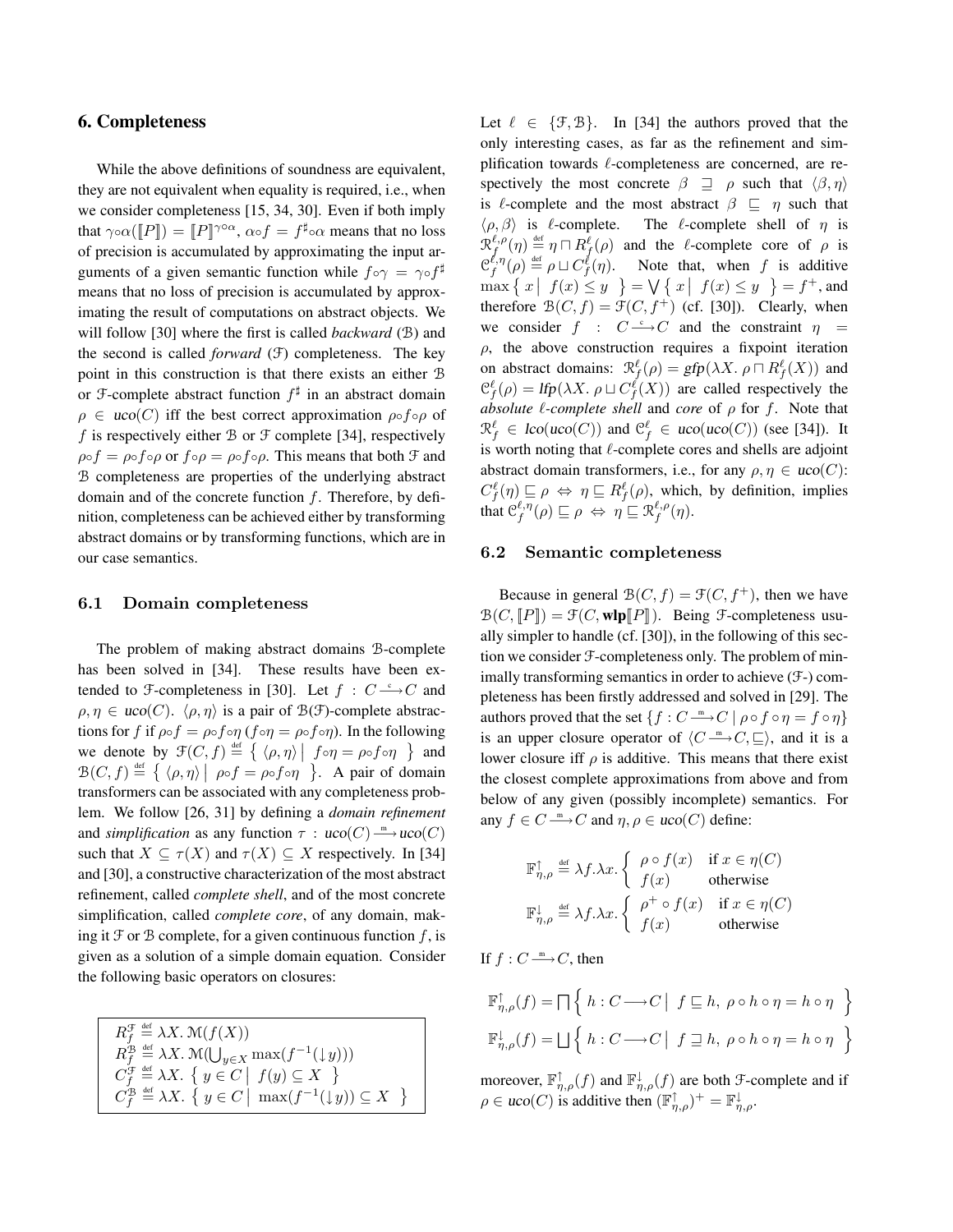### 6. Completeness

While the above definitions of soundness are equivalent, they are not equivalent when equality is required, i.e., when we consider completeness [15, 34, 30]. Even if both imply that  $\gamma \circ \alpha([\![P]\!]) = [\![P]\!]^{\gamma \circ \alpha}, \alpha \circ f = f^{\sharp} \circ \alpha$  means that no loss of precision is accumulated by approximating the input arguments of a given semantic function while  $f \circ \gamma = \gamma \circ f^{\sharp}$ means that no loss of precision is accumulated by approximating the result of computations on abstract objects. We will follow [30] where the first is called *backward* (B) and the second is called *forward* (F) completeness. The key point in this construction is that there exists an either B or F-complete abstract function  $f^{\sharp}$  in an abstract domain  $\rho \in uco(C)$  iff the best correct approximation  $\rho \circ f \circ \rho$  of f is respectively either B or F complete [34], respectively  $\rho \circ f = \rho \circ f \circ \rho$  or  $f \circ \rho = \rho \circ f \circ \rho$ . This means that both  $\mathcal F$  and B completeness are properties of the underlying abstract domain and of the concrete function  $f$ . Therefore, by definition, completeness can be achieved either by transforming abstract domains or by transforming functions, which are in our case semantics.

#### 6.1 Domain completeness

The problem of making abstract domains B-complete has been solved in [34]. These results have been extended to F-completeness in [30]. Let  $f : C \longrightarrow C$  and  $\rho, \eta \in u\text{co}(C)$ .  $\langle \rho, \eta \rangle$  is a pair of  $\mathcal{B}(\mathcal{F})$ -complete abstractions for f if  $\rho \circ f = \rho \circ f \circ \eta$  (f $\circ \eta = \rho \circ f \circ \eta$ ). In the following we denote by  $\mathcal{F}(C, f) \stackrel{\text{def}}{=} \{ \langle \rho, \eta \rangle \mid f \circ \eta = \rho \circ f \circ \eta \}$  and  $\mathcal{B}(C, f) \stackrel{\text{def}}{=} \{ \langle \rho, \eta \rangle \mid \rho \circ f = \rho \circ f \circ \eta \}$ . A pair of domain transformers can be associated with any completeness problem. We follow [26, 31] by defining a *domain refinement* and *simplification* as any function  $\tau : u\text{co}(C) \longrightarrow u\text{co}(C)$ such that  $X \subseteq \tau(X)$  and  $\tau(X) \subseteq X$  respectively. In [34] and [30], a constructive characterization of the most abstract refinement, called *complete shell*, and of the most concrete simplification, called *complete core*, of any domain, making it  $\mathcal F$  or  $\mathcal B$  complete, for a given continuous function f, is given as a solution of a simple domain equation. Consider the following basic operators on closures:

 $R_f^{\mathcal{F}} \stackrel{\text{def}}{=} \lambda X \cdot \mathcal{M}(f(X))$  $R_f^B \stackrel{\text{def}}{=} \lambda X. \mathcal{M}(\bigcup_{y \in X} \max(f^{-1}(\downarrow y)))$  $C_f^{\mathcal{F}} \stackrel{\text{def}}{=} \lambda X. \{ y \in C \mid f(y) \subseteq X \}$  $C_f^{\mathcal{B}} \stackrel{\text{def}}{=} \lambda X. \{ y \in C \mid \max(f^{-1}(\downarrow y)) \subseteq X \}$  Let  $\ell \in \{\mathcal{F}, \mathcal{B}\}.$  In [34] the authors proved that the only interesting cases, as far as the refinement and simplification towards  $\ell$ -completeness are concerned, are respectively the most concrete  $\beta \supseteq \rho$  such that  $\langle \beta, \eta \rangle$ is  $\ell$ -complete and the most abstract  $\beta \subseteq \eta$  such that  $\langle \rho, \beta \rangle$  is  $\ell$ -complete. The  $\ell$ -complete shell of  $\eta$  is  $\mathcal{R}_f^{\ell,\rho}(\eta) \stackrel{\text{def}}{=} \eta \sqcap R_f^{\ell}(\rho)$  and the  $\ell$ -complete core of  $\rho$  is  $\mathcal{C}_f^{\ell,\eta}(\rho) \stackrel{\text{def}}{=} \rho \sqcup C_f^{\ell}(\eta)$ . Note that, when f is additive  $\max\left\{x \mid f(x) \leq y \right\} = \bigvee \left\{x \mid f(x) \leq y \right\} = f^+$ , and therefore  $\mathcal{B}(C, f) = \mathcal{F}(C, f^+)$  (cf. [30]). Clearly, when we consider  $f : C \rightarrow C$  and the constraint  $\eta =$  $\rho$ , the above construction requires a fixpoint iteration on abstract domains:  $\mathcal{R}_f^{\ell}(\rho) = \text{gfp}(\lambda X \cdot \rho \cap R_f^{\ell}(X))$  and  $\mathcal{C}_f^{\ell}(\rho) = \text{Ifp}(\lambda X, \rho \sqcup C_f^{\ell}(X))$  are called respectively the *absolute*  $\ell$ -*complete shell* and *core* of  $\rho$  for  $f$ . Note that  $\mathcal{R}_f^{\ell} \in \text{Lco}(\text{uco}(C))$  and  $\mathcal{C}_f^{\ell} \in \text{uco}(\text{uco}(C))$  (see [34]). It is worth noting that  $\ell$ -complete cores and shells are adjoint abstract domain transformers, i.e., for any  $\rho, \eta \in uco(C)$ :  $C_f^{\ell}(\eta) \sqsubseteq \rho \Leftrightarrow \eta \sqsubseteq R_f^{\ell}(\rho)$ , which, by definition, implies that  $\mathcal{C}_f^{\ell,\eta}(\rho) \sqsubseteq \rho \iff \eta \sqsubseteq \mathcal{R}_f^{\ell,\rho}(\eta)$ .

# 6.2 Semantic completeness

Because in general  $\mathcal{B}(C, f) = \mathcal{F}(C, f^+)$ , then we have  $\mathcal{B}(C, \llbracket P \rrbracket) = \mathcal{F}(C, \textbf{wlp} \llbracket P \rrbracket)$ . Being F-completeness usually simpler to handle (cf. [30]), in the following of this section we consider F-completeness only. The problem of minimally transforming semantics in order to achieve  $(\mathcal{F}_{\mathcal{I}})$  completeness has been firstly addressed and solved in [29]. The authors proved that the set  $\{f : C \longrightarrow C \mid \rho \circ f \circ \eta = f \circ \eta\}$ is an upper closure operator of  $\langle C \longrightarrow C, \sqsubseteq \rangle$ , and it is a lower closure iff  $\rho$  is additive. This means that there exist the closest complete approximations from above and from below of any given (possibly incomplete) semantics. For any  $f \in C \longrightarrow C$  and  $\eta, \rho \in uco(C)$  define:

$$
\mathbb{F}_{\eta,\rho}^{\uparrow} \stackrel{\text{def}}{=} \lambda f. \lambda x. \begin{cases} \rho \circ f(x) & \text{if } x \in \eta(C) \\ f(x) & \text{otherwise} \end{cases}
$$

$$
\mathbb{F}_{\eta,\rho}^{\downarrow} \stackrel{\text{def}}{=} \lambda f. \lambda x. \begin{cases} \rho^+ \circ f(x) & \text{if } x \in \eta(C) \\ f(x) & \text{otherwise} \end{cases}
$$

If  $f: C \longrightarrow C$ , then

$$
\mathbb{F}_{\eta,\rho}^{\uparrow}(f) = \bigcap \left\{ h : C \longrightarrow C \mid f \sqsubseteq h, \, \rho \circ h \circ \eta = h \circ \eta \right\}
$$
\n
$$
\mathbb{F}_{\eta,\rho}^{\downarrow}(f) = \bigsqcup \left\{ h : C \longrightarrow C \mid f \sqsupseteq h, \, \rho \circ h \circ \eta = h \circ \eta \right\}
$$

moreover,  $\mathbb{F}_{\eta,\rho}^{\uparrow}(f)$  and  $\mathbb{F}_{\eta,\rho}^{\downarrow}(f)$  are both  $\mathcal{F}$ -complete and if  $\rho \in \text{uco}(C)$  is additive then  $(\mathbb{F}_{\eta,\rho}^{\uparrow})^+ = \mathbb{F}_{\eta,\rho}^{\downarrow}$ .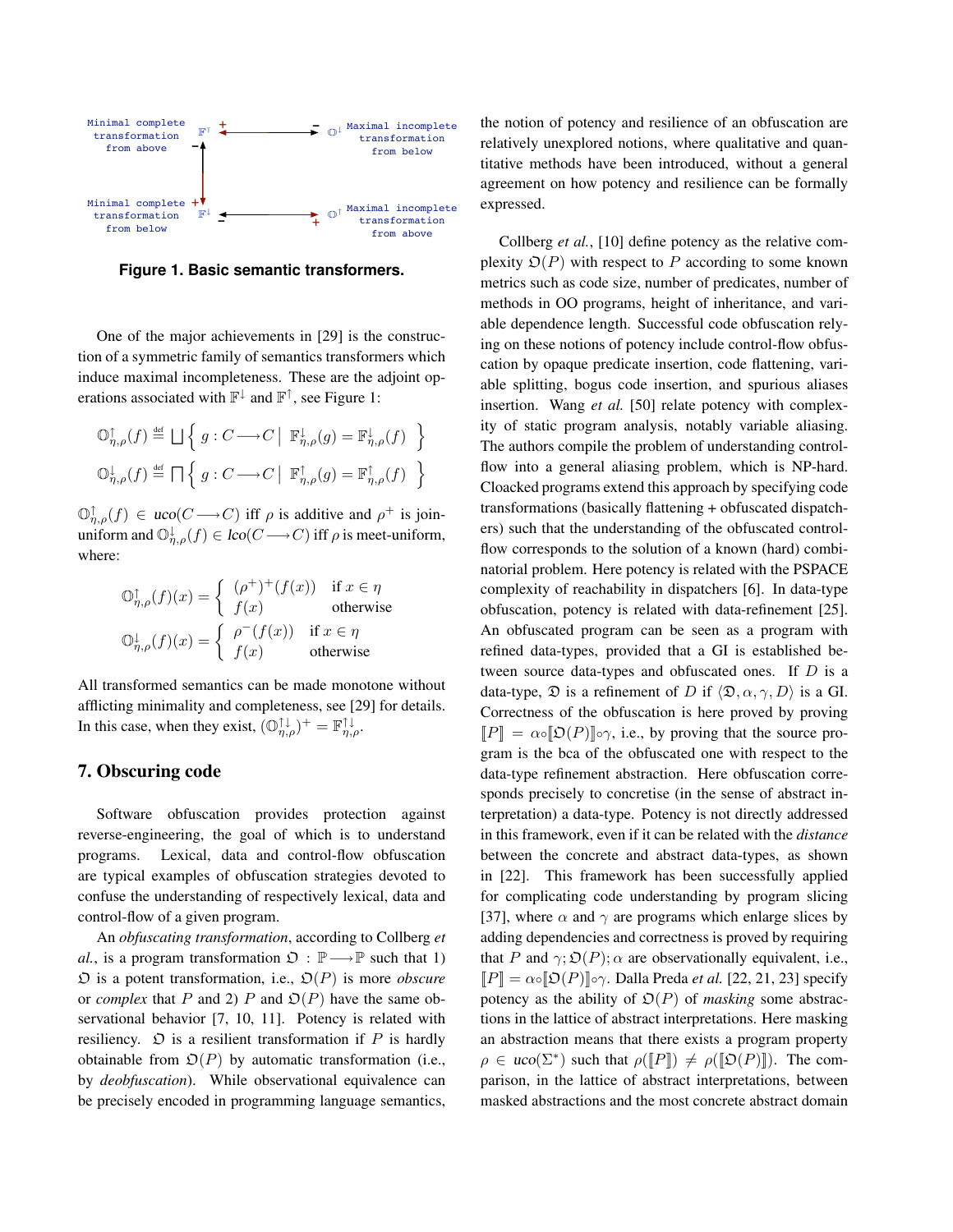

**Figure 1. Basic semantic transformers.**

One of the major achievements in [29] is the construction of a symmetric family of semantics transformers which induce maximal incompleteness. These are the adjoint operations associated with  $\mathbb{F}^{\downarrow}$  and  $\mathbb{F}^{\uparrow}$ , see Figure 1:

$$
\begin{aligned}\n\mathbb{O}_{\eta,\rho}^{\uparrow}(f) & \stackrel{\text{def}}{=} \; \bigsqcup \; \Big\{ \; g : C \longrightarrow C \; \big| \; \; \mathbb{F}_{\eta,\rho}^{\downarrow}(g) = \mathbb{F}_{\eta,\rho}^{\downarrow}(f) \; \; \Big\} \\
\mathbb{O}_{\eta,\rho}^{\downarrow}(f) & \stackrel{\text{def}}{=} \; \bigsqcap \; \Big\{ \; g : C \longrightarrow C \; \big| \; \; \mathbb{F}_{\eta,\rho}^{\uparrow}(g) = \mathbb{F}_{\eta,\rho}^{\uparrow}(f) \; \; \Big\}\n\end{aligned}
$$

 $\mathbb{O}_{n,\rho}^{\uparrow}(f) \in uco(C \rightarrow C)$  iff  $\rho$  is additive and  $\rho^+$  is joinuniform and  $\mathbb{O}_{\eta,\rho}^{\downarrow}(f) \in \text{loc}(C \longrightarrow C)$  iff  $\rho$  is meet-uniform, where:

$$
\mathbb{O}_{\eta,\rho}^{\uparrow}(f)(x) = \begin{cases} (\rho^{+})^{+}(f(x)) & \text{if } x \in \eta \\ f(x) & \text{otherwise} \end{cases}
$$

$$
\mathbb{O}_{\eta,\rho}^{\downarrow}(f)(x) = \begin{cases} \rho^{-}(f(x)) & \text{if } x \in \eta \\ f(x) & \text{otherwise} \end{cases}
$$

All transformed semantics can be made monotone without afflicting minimality and completeness, see [29] for details. In this case, when they exist,  $(\mathbb{O}_{\eta,\rho}^{\uparrow\downarrow})^+ = \mathbb{F}_{\eta,\rho}^{\uparrow\downarrow}$ .

# 7. Obscuring code

Software obfuscation provides protection against reverse-engineering, the goal of which is to understand programs. Lexical, data and control-flow obfuscation are typical examples of obfuscation strategies devoted to confuse the understanding of respectively lexical, data and control-flow of a given program.

An *obfuscating transformation*, according to Collberg *et al.*, is a program transformation  $\mathfrak{O} : \mathbb{P} \longrightarrow \mathbb{P}$  such that 1)  $\mathfrak D$  is a potent transformation, i.e.,  $\mathfrak O(P)$  is more *obscure* or *complex* that P and 2) P and  $\mathfrak{O}(P)$  have the same observational behavior [7, 10, 11]. Potency is related with resiliency.  $\mathfrak D$  is a resilient transformation if P is hardly obtainable from  $\mathfrak{O}(P)$  by automatic transformation (i.e., by *deobfuscation*). While observational equivalence can be precisely encoded in programming language semantics,

the notion of potency and resilience of an obfuscation are relatively unexplored notions, where qualitative and quantitative methods have been introduced, without a general agreement on how potency and resilience can be formally expressed.

Collberg *et al.*, [10] define potency as the relative complexity  $\mathfrak{O}(P)$  with respect to P according to some known metrics such as code size, number of predicates, number of methods in OO programs, height of inheritance, and variable dependence length. Successful code obfuscation relying on these notions of potency include control-flow obfuscation by opaque predicate insertion, code flattening, variable splitting, bogus code insertion, and spurious aliases insertion. Wang *et al.* [50] relate potency with complexity of static program analysis, notably variable aliasing. The authors compile the problem of understanding controlflow into a general aliasing problem, which is NP-hard. Cloacked programs extend this approach by specifying code transformations (basically flattening + obfuscated dispatchers) such that the understanding of the obfuscated controlflow corresponds to the solution of a known (hard) combinatorial problem. Here potency is related with the PSPACE complexity of reachability in dispatchers [6]. In data-type obfuscation, potency is related with data-refinement [25]. An obfuscated program can be seen as a program with refined data-types, provided that a GI is established between source data-types and obfuscated ones. If D is a data-type,  $\mathfrak D$  is a refinement of D if  $\langle \mathfrak D, \alpha, \gamma, D \rangle$  is a GI. Correctness of the obfuscation is here proved by proving  $\llbracket P \rrbracket = \alpha \circ \llbracket \mathfrak{O}(P) \rrbracket \circ \gamma$ , i.e., by proving that the source program is the bca of the obfuscated one with respect to the data-type refinement abstraction. Here obfuscation corresponds precisely to concretise (in the sense of abstract interpretation) a data-type. Potency is not directly addressed in this framework, even if it can be related with the *distance* between the concrete and abstract data-types, as shown in [22]. This framework has been successfully applied for complicating code understanding by program slicing [37], where  $\alpha$  and  $\gamma$  are programs which enlarge slices by adding dependencies and correctness is proved by requiring that P and  $\gamma$ ;  $\mathfrak{O}(P)$ ;  $\alpha$  are observationally equivalent, i.e.,  $\llbracket P \rrbracket = \alpha \circ \llbracket \mathfrak{O}(P) \rrbracket \circ \gamma$ . Dalla Preda *et al.* [22, 21, 23] specify potency as the ability of  $\mathfrak{O}(P)$  of *masking* some abstractions in the lattice of abstract interpretations. Here masking an abstraction means that there exists a program property  $\rho \in uco(\Sigma^*)$  such that  $\rho(\llbracket P \rrbracket) \neq \rho(\llbracket \mathfrak{O}(P) \rrbracket)$ . The comparison, in the lattice of abstract interpretations, between masked abstractions and the most concrete abstract domain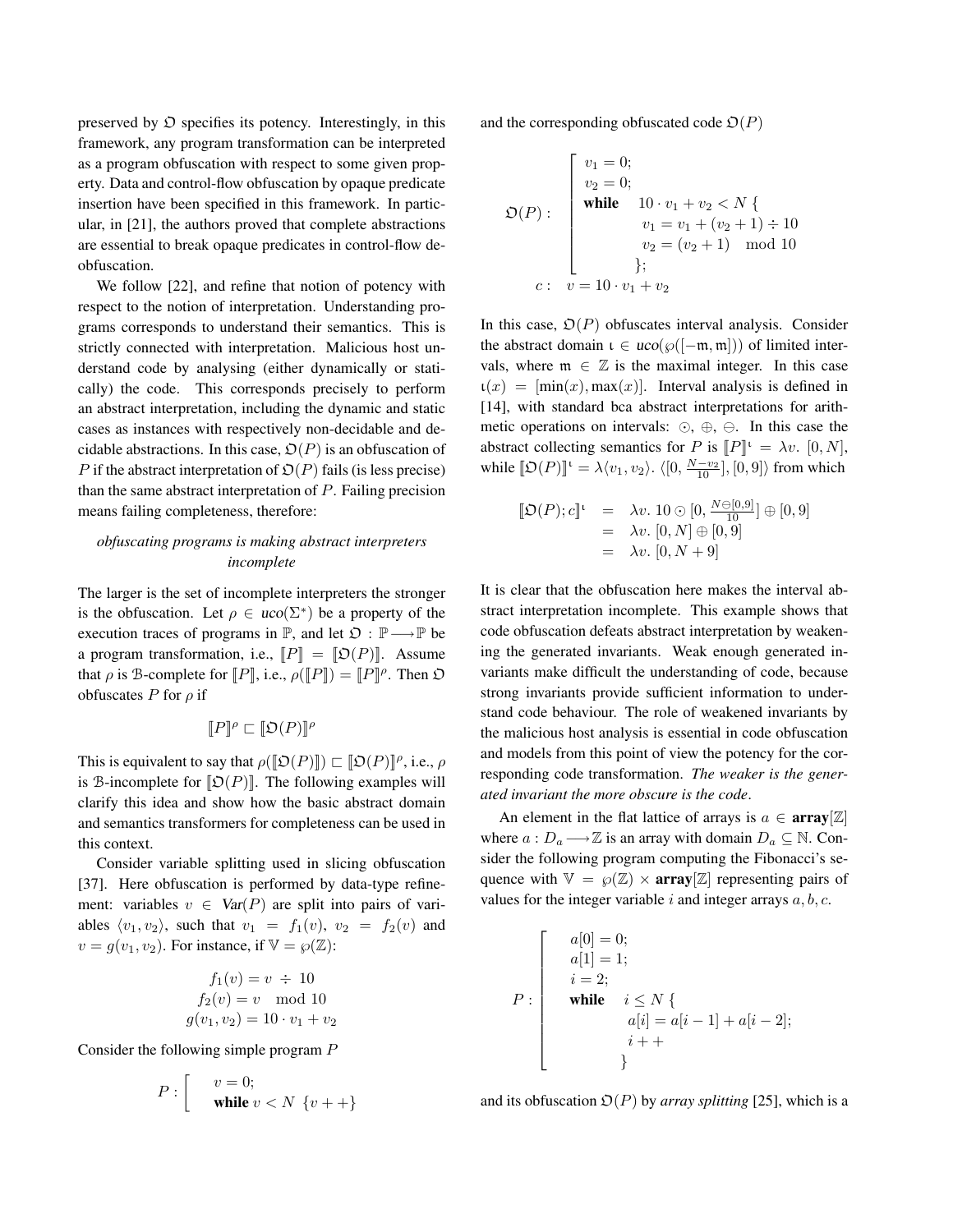preserved by  $\mathcal D$  specifies its potency. Interestingly, in this framework, any program transformation can be interpreted as a program obfuscation with respect to some given property. Data and control-flow obfuscation by opaque predicate insertion have been specified in this framework. In particular, in [21], the authors proved that complete abstractions are essential to break opaque predicates in control-flow deobfuscation.

We follow [22], and refine that notion of potency with respect to the notion of interpretation. Understanding programs corresponds to understand their semantics. This is strictly connected with interpretation. Malicious host understand code by analysing (either dynamically or statically) the code. This corresponds precisely to perform an abstract interpretation, including the dynamic and static cases as instances with respectively non-decidable and decidable abstractions. In this case,  $\mathcal{D}(P)$  is an obfuscation of P if the abstract interpretation of  $\mathcal{D}(P)$  fails (is less precise) than the same abstract interpretation of  $P$ . Failing precision means failing completeness, therefore:

# *obfuscating programs is making abstract interpreters incomplete*

The larger is the set of incomplete interpreters the stronger is the obfuscation. Let  $\rho \in uco(\Sigma^*)$  be a property of the execution traces of programs in  $\mathbb{P}$ , and let  $\mathfrak{D} : \mathbb{P} \longrightarrow \mathbb{P}$  be a program transformation, i.e.,  $\llbracket P \rrbracket = \llbracket \mathfrak{O}(P) \rrbracket$ . Assume that  $\rho$  is B-complete for  $[[P]],$  i.e.,  $\rho([\![P]\!]) = [[P]]^{\rho}$ . Then  $\mathfrak{O}$ obfuscates P for  $\rho$  if

$$
[\![P]\!]^\rho \sqsubset [\![\mathfrak{O}(P)]\!]^\rho
$$

This is equivalent to say that  $\rho([\mathfrak{O}(P)]) \sqsubset [\mathfrak{O}(P)]^{\rho}$ , i.e.,  $\rho$ is B-incomplete for  $[\![ \mathfrak{O}(P) ]\!]$ . The following examples will clarify this idea and show how the basic abstract domain and semantics transformers for completeness can be used in this context.

Consider variable splitting used in slicing obfuscation [37]. Here obfuscation is performed by data-type refinement: variables  $v \in \text{Var}(P)$  are split into pairs of variables  $\langle v_1, v_2 \rangle$ , such that  $v_1 = f_1(v)$ ,  $v_2 = f_2(v)$  and  $v = g(v_1, v_2)$ . For instance, if  $\mathbb{V} = \varphi(\mathbb{Z})$ :

$$
f_1(v) = v \div 10
$$
  
f<sub>2</sub>(v) = v mod 10  

$$
g(v_1, v_2) = 10 \cdot v_1 + v_2
$$

Consider the following simple program P

$$
P: \begin{bmatrix} v = 0; \\ \text{while } v < N \ \{v + +\} \end{bmatrix}
$$

and the corresponding obfuscated code  $\mathcal{D}(P)$ 

$$
\mathfrak{O}(P): \begin{bmatrix} v_1 = 0; \\ v_2 = 0; \\ \text{while} & 10 \cdot v_1 + v_2 < N \\ v_1 = v_1 + (v_2 + 1) \div 10 \\ v_2 = (v_2 + 1) \mod 10 \\ \vdots \\ v = 10 \cdot v_1 + v_2 \end{bmatrix}
$$

In this case,  $\mathcal{D}(P)$  obfuscates interval analysis. Consider the abstract domain  $\iota \in uco(\wp([-m, m]))$  of limited intervals, where  $m \in \mathbb{Z}$  is the maximal integer. In this case  $\iota(x) = \lceil \min(x), \max(x) \rceil$ . Interval analysis is defined in [14], with standard bca abstract interpretations for arithmetic operations on intervals:  $\odot$ ,  $\oplus$ ,  $\ominus$ . In this case the abstract collecting semantics for P is  $[|P|] = \lambda v$ .  $[0, N]$ , while  $[\![\mathfrak{O}(P)]\!]^{\mathfrak{t}} = \lambda \langle v_1, v_2 \rangle$ .  $\langle [0, \frac{N-v_2}{10}], [0, 9] \rangle$  from which

$$
\begin{array}{rcl} [\mathfrak{O}(P);c]^{1} & = & \lambda v. \ 10 \odot [0,\frac{N \ominus [0,9]}{10}] \oplus [0,9] \\ & = & \lambda v. \ [0,N] \oplus [0,9] \\ & = & \lambda v. \ [0,N+9] \end{array}
$$

It is clear that the obfuscation here makes the interval abstract interpretation incomplete. This example shows that code obfuscation defeats abstract interpretation by weakening the generated invariants. Weak enough generated invariants make difficult the understanding of code, because strong invariants provide sufficient information to understand code behaviour. The role of weakened invariants by the malicious host analysis is essential in code obfuscation and models from this point of view the potency for the corresponding code transformation. *The weaker is the generated invariant the more obscure is the code*.

An element in the flat lattice of arrays is  $a \in \mathbf{array}[\mathbb{Z}]$ where  $a: D_a \longrightarrow \mathbb{Z}$  is an array with domain  $D_a \subseteq \mathbb{N}$ . Consider the following program computing the Fibonacci's sequence with  $V = \varphi(\mathbb{Z}) \times \mathbf{array}[\mathbb{Z}]$  representing pairs of values for the integer variable  $i$  and integer arrays  $a, b, c$ .

$$
P : \begin{bmatrix} a[0] = 0; \\ a[1] = 1; \\ i = 2; \\ \text{while} & i \le N \{ \\ a[i] = a[i-1] + a[i-2]; \\ & i++ \\ \end{bmatrix}
$$

and its obfuscation  $\mathfrak{O}(P)$  by *array splitting* [25], which is a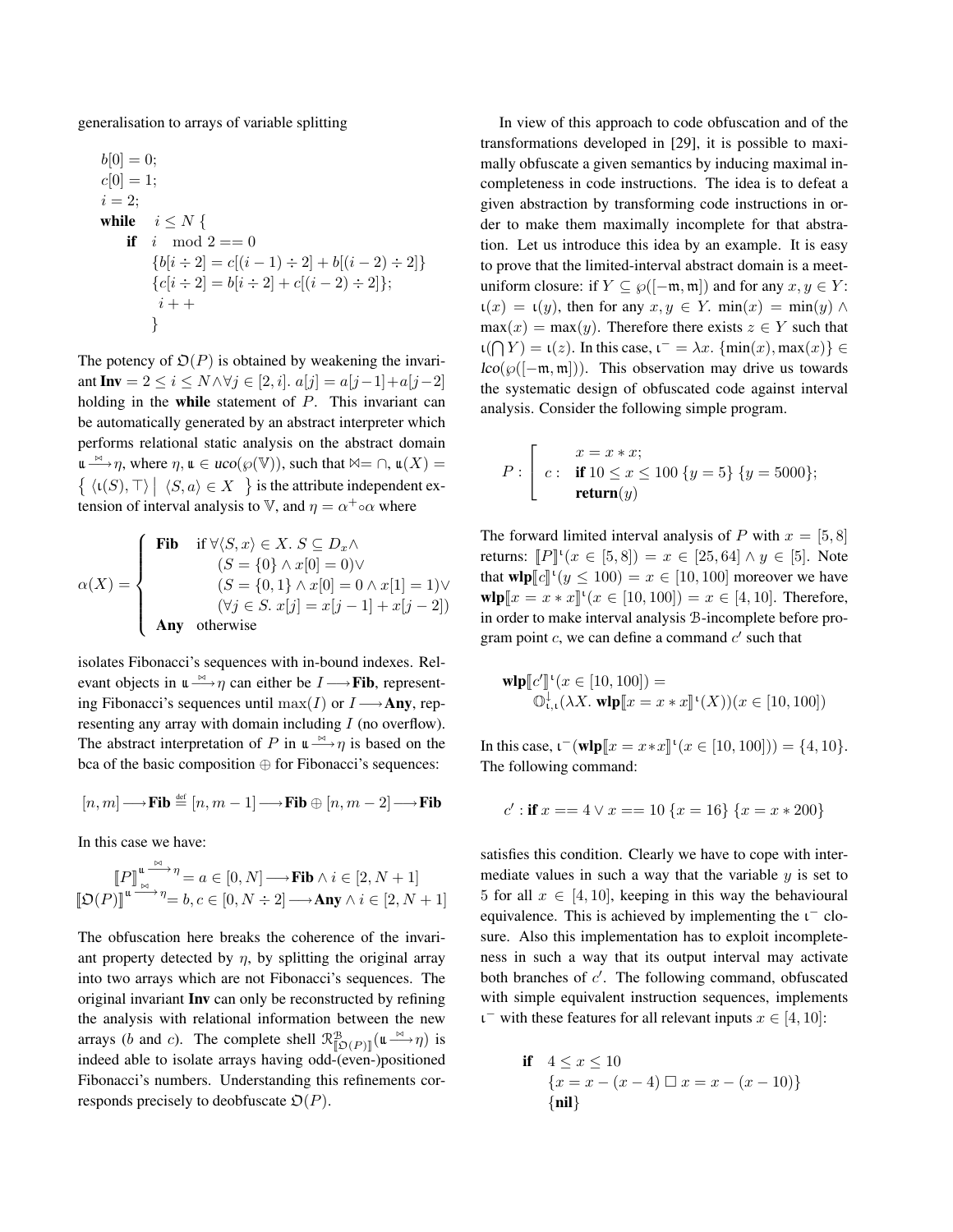generalisation to arrays of variable splitting

$$
b[0] = 0;
$$
  
\n
$$
c[0] = 1;
$$
  
\n
$$
i = 2;
$$
  
\n**while**  $i \le N \{$   
\n**if**  $i \mod 2 == 0$   
\n
$$
\{b[i \div 2] = c[(i - 1) \div 2] + b[(i - 2) \div 2] \}
$$
  
\n
$$
\{c[i \div 2] = b[i \div 2] + c[(i - 2) \div 2] \};
$$
  
\n
$$
i + \}
$$

The potency of  $\mathcal{D}(P)$  is obtained by weakening the invariant **Inv** = 2 ≤ *i* ≤ *N* ∧ $\forall j$  ∈ [2, *i*].  $a[j] = a[j-1]+a[j-2]$ holding in the while statement of  $P$ . This invariant can be automatically generated by an abstract interpreter which performs relational static analysis on the abstract domain  $\mathfrak{u} \longrightarrow \eta$ , where  $\eta, \mathfrak{u} \in uco(\wp(\mathbb{V}))$ , such that  $\mathbb{M} = \cap, \mathfrak{u}(X) =$  $\{ \langle \iota(S), \top \rangle \mid \langle S, a \rangle \in X \}$  is the attribute independent extension of interval analysis to V, and  $\eta = \alpha^+ \circ \alpha$  where

$$
\alpha(X) = \begin{cases} \text{Fib} & \text{if } \forall \langle S, x \rangle \in X. \ S \subseteq D_x \land \\ & (S = \{0\} \land x[0] = 0) \lor \\ & (S = \{0, 1\} \land x[0] = 0 \land x[1] = 1) \lor \\ & (\forall j \in S. \ x[j] = x[j-1] + x[j-2]) \end{cases}
$$
\nAny otherwise

isolates Fibonacci's sequences with in-bound indexes. Relevant objects in  $\mathfrak{u} \longrightarrow \eta$  can either be  $I \longrightarrow$ **Fib**, representing Fibonacci's sequences until max $(I)$  or  $I \longrightarrow$ **Any**, representing any array with domain including I (no overflow). The abstract interpretation of P in  $\mathfrak{u} \longrightarrow_{\eta}$  is based on the bca of the basic composition ⊕ for Fibonacci's sequences:

$$
[n,m] \longrightarrow \textbf{Fib} \stackrel{\text{def}}{=} [n,m-1] \longrightarrow \textbf{Fib} \oplus [n,m-2] \longrightarrow \textbf{Fib}
$$

In this case we have:

$$
\begin{aligned} \llbracket P \rrbracket^{\mathfrak{u}} \xrightarrow{\bowtie} \eta = a \in [0,N] \longrightarrow \textbf{Fib} \land i \in [2,N+1] \\ \llbracket \mathfrak{O}(P) \rrbracket^{\mathfrak{u}} \xrightarrow{\bowtie} \eta = b, c \in [0,N \div 2] \longrightarrow \textbf{Any} \land i \in [2,N+1] \end{aligned}
$$

The obfuscation here breaks the coherence of the invariant property detected by  $\eta$ , by splitting the original array into two arrays which are not Fibonacci's sequences. The original invariant Inv can only be reconstructed by refining the analysis with relational information between the new arrays (b and c). The complete shell  $\mathbb{R}^{\mathcal{B}}_{[\mathfrak{D}(P)]}(\mathfrak{u} \longrightarrow \eta)$  is indeed able to isolate arrays having odd-(even-)positioned Fibonacci's numbers. Understanding this refinements corresponds precisely to deobfuscate  $\mathcal{D}(P)$ .

In view of this approach to code obfuscation and of the transformations developed in [29], it is possible to maximally obfuscate a given semantics by inducing maximal incompleteness in code instructions. The idea is to defeat a given abstraction by transforming code instructions in order to make them maximally incomplete for that abstration. Let us introduce this idea by an example. It is easy to prove that the limited-interval abstract domain is a meetuniform closure: if  $Y \subseteq \wp([-m, m])$  and for any  $x, y \in Y$ :  $\iota(x) = \iota(y)$ , then for any  $x, y \in Y$ .  $\min(x) = \min(y) \wedge y$  $max(x) = max(y)$ . Therefore there exists  $z \in Y$  such that  $\iota(\bigcap Y) = \iota(z)$ . In this case,  $\iota^{-} = \lambda x$ . { $\min(x), \max(x)$ }  $\in$  $lco(\wp([-m, m]))$ . This observation may drive us towards the systematic design of obfuscated code against interval analysis. Consider the following simple program.

$$
P: \begin{bmatrix} x = x * x; \\ c: & \text{if } 10 \le x \le 100 \{y = 5\} \{y = 5000\}; \\ \text{return}(y) \end{bmatrix}
$$

The forward limited interval analysis of P with  $x = [5, 8]$ returns:  $[P]^{(x)}(x \in [5, 8]) = x \in [25, 64] \wedge y \in [5]$ . Note that  $\text{wlp}}[c]^{\text{t}}(y \le 100) = x \in [10, 100]$  moreover we have  $\text{wlp}[x = x * x] \cdot (x \in [10, 100]) = x \in [4, 10]$ . Therefore, in order to make interval analysis B-incomplete before program point  $c$ , we can define a command  $c'$  such that

$$
\mathbf{wlp}[[c']]^{\mathbf{t}}(x \in [10, 100]) =
$$
  

$$
\mathbb{O}_{\mathbf{t}, \mathbf{t}}^{\downarrow}(\lambda X. \mathbf{wlp}[[x = x * x]]^{\mathbf{t}}(X))(x \in [10, 100])
$$

In this case,  $\iota^{-}(\mathbf{w}\mathbf{1p}[[x=x*x]]^{T}(x \in [10, 100])) = \{4, 10\}.$ <br>The following command: The following command:

$$
c': \text{if } x == 4 \lor x == 10 \{x = 16\} \{x = x * 200\}
$$

satisfies this condition. Clearly we have to cope with intermediate values in such a way that the variable  $y$  is set to 5 for all  $x \in [4, 10]$ , keeping in this way the behavioural equivalence. This is achieved by implementing the  $t^-$  closure. Also this implementation has to exploit incompleteness in such a way that its output interval may activate both branches of  $c'$ . The following command, obfuscated with simple equivalent instruction sequences, implements  $\mathfrak{u}^-$  with these features for all relevant inputs  $x \in [4, 10]$ :

if 
$$
4 \le x \le 10
$$
  
\n $\{x = x - (x - 4) \square x = x - (x - 10)\}$   
\n $\{\text{nil}\}\$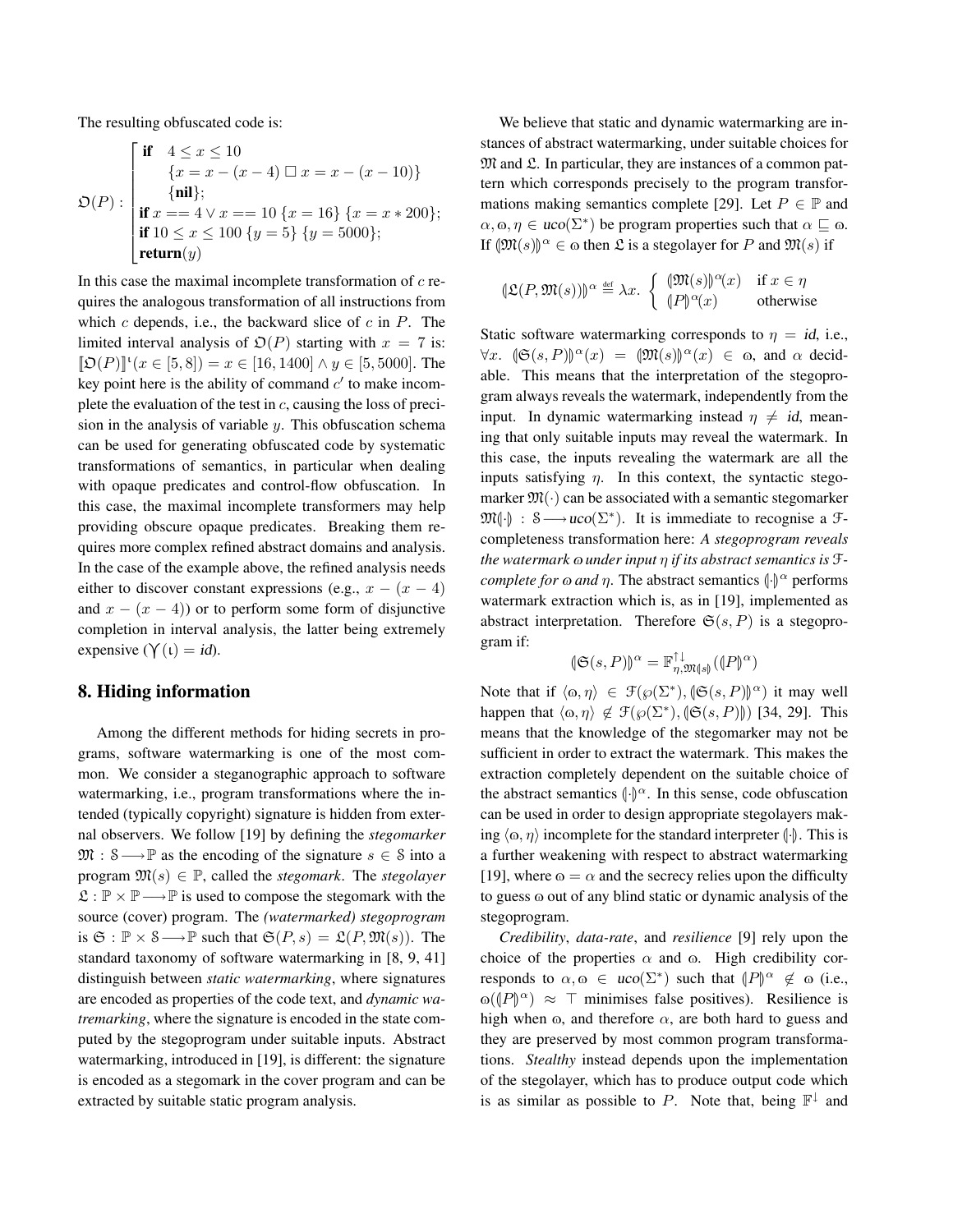The resulting obfuscated code is:

$$
\mathfrak{O}(P): \begin{cases}\n\text{if } 4 \leq x \leq 10 \\
\{x = x - (x - 4) \Box x = x - (x - 10)\} \\
\{\text{nil}\}; \\
\text{if } x = 4 \lor x = 10 \{x = 16\} \{x = x * 200\}; \\
\text{if } 10 \leq x \leq 100 \{y = 5\} \{y = 5000\}; \\
\text{return}(y)\n\end{cases}
$$

In this case the maximal incomplete transformation of  $c$  requires the analogous transformation of all instructions from which  $c$  depends, i.e., the backward slice of  $c$  in  $P$ . The limited interval analysis of  $\mathcal{D}(P)$  starting with  $x = 7$  is:  $[\![\mathfrak{O}(P)]\!]$ <sup>1</sup> $(x \in [5, 8]) = x \in [16, 1400] \wedge y \in [5, 5000]$ . The key point here is the ability of command  $c'$  to make incomplete the evaluation of the test in  $c$ , causing the loss of precision in the analysis of variable  $y$ . This obfuscation schema can be used for generating obfuscated code by systematic transformations of semantics, in particular when dealing with opaque predicates and control-flow obfuscation. In this case, the maximal incomplete transformers may help providing obscure opaque predicates. Breaking them requires more complex refined abstract domains and analysis. In the case of the example above, the refined analysis needs either to discover constant expressions (e.g.,  $x - (x - 4)$ ) and  $x - (x - 4)$  or to perform some form of disjunctive completion in interval analysis, the latter being extremely expensive  $(\gamma(\iota) = id)$ .

# 8. Hiding information

Among the different methods for hiding secrets in programs, software watermarking is one of the most common. We consider a steganographic approach to software watermarking, i.e., program transformations where the intended (typically copyright) signature is hidden from external observers. We follow [19] by defining the *stegomarker*  $\mathfrak{M}$  : S  $\longrightarrow \mathbb{P}$  as the encoding of the signature  $s \in \mathcal{S}$  into a program  $\mathfrak{M}(s) \in \mathbb{P}$ , called the *stegomark*. The *stegolayer*  $\mathfrak{L} : \mathbb{P} \times \mathbb{P}$  →  $\mathbb{P}$  is used to compose the stegomark with the source (cover) program. The *(watermarked) stegoprogram* is  $\mathfrak{S} : \mathbb{P} \times \mathcal{S} \longrightarrow \mathbb{P}$  such that  $\mathfrak{S}(P, s) = \mathfrak{L}(P, \mathfrak{M}(s))$ . The standard taxonomy of software watermarking in [8, 9, 41] distinguish between *static watermarking*, where signatures are encoded as properties of the code text, and *dynamic watremarking*, where the signature is encoded in the state computed by the stegoprogram under suitable inputs. Abstract watermarking, introduced in [19], is different: the signature is encoded as a stegomark in the cover program and can be extracted by suitable static program analysis.

We believe that static and dynamic watermarking are instances of abstract watermarking, under suitable choices for  $M$  and  $L$ . In particular, they are instances of a common pattern which corresponds precisely to the program transformations making semantics complete [29]. Let  $P \in \mathbb{P}$  and  $\alpha, \omega, \eta \in u\text{co}(\Sigma^*)$  be program properties such that  $\alpha \sqsubseteq \omega$ . If  $(\mathfrak{M}(s))^{\alpha} \in \omega$  then  $\mathfrak{L}$  is a stegolayer for P and  $\mathfrak{M}(s)$  if

$$
(\mathfrak{L}(P,\mathfrak{M}(s)))\rho \stackrel{\text{def}}{=} \lambda x. \begin{cases} (\mathfrak{M}(s))\alpha(x) & \text{if } x \in \eta \\ (P)\alpha(x) & \text{otherwise} \end{cases}
$$

Static software watermarking corresponds to  $\eta = id$ , i.e.,  $\forall x. \ (\mathfrak{S}(s, P))^{\alpha}(x) = (\mathfrak{M}(s))^{\alpha}(x) \in \alpha, \text{ and } \alpha \text{ decimal}$ able. This means that the interpretation of the stegoprogram always reveals the watermark, independently from the input. In dynamic watermarking instead  $\eta \neq id$ , meaning that only suitable inputs may reveal the watermark. In this case, the inputs revealing the watermark are all the inputs satisfying  $\eta$ . In this context, the syntactic stegomarker  $\mathfrak{M}(\cdot)$  can be associated with a semantic stegomarker  $\mathfrak{M}(\cdot)$ : S  $\longrightarrow$ uco( $\Sigma^*$ ). It is immediate to recognise a F-<br>second tensor tensor meeting here A stream second usual completeness transformation here: *A stegoprogram reveals the watermark*  $\omega$  *under input*  $\eta$  *if its abstract semantics is*  $\mathcal{F}$ *complete for*  $\omega$  *and*  $\eta$ . The abstract semantics  $(\cdot)^\alpha$  performs watermark extraction which is, as in [19], implemented as abstract interpretation. Therefore  $\mathfrak{S}(s, P)$  is a stegoprogram if:

$$
(\mathfrak{S}(s,P))^{\alpha} = \mathbb{F}_{\eta,\mathfrak{M}(s)}^{\uparrow\downarrow}(\mathfrak{P})^{\alpha}
$$

Note that if  $\langle \omega, \eta \rangle \in \mathcal{F}(\wp(\Sigma^*), \mathcal{C}(s, P))^{\alpha}$  it may well happen that  $\langle \omega, \eta \rangle \notin \mathcal{F}(\wp(\Sigma^*), \langle \mathfrak{S}(s, P) \rangle)$  [34, 29]. This means that the knowledge of the stegomarker may not be sufficient in order to extract the watermark. This makes the extraction completely dependent on the suitable choice of the abstract semantics  $\left\{\cdot\right\}^{\alpha}$ . In this sense, code obfuscation can be used in order to design appropriate stegolayers making  $\langle \omega, \eta \rangle$  incomplete for the standard interpreter  $\langle \cdot \rangle$ . This is a further weakening with respect to abstract watermarking [19], where  $\omega = \alpha$  and the secrecy relies upon the difficulty to guess  $\omega$  out of any blind static or dynamic analysis of the stegoprogram.

*Credibility*, *data-rate*, and *resilience* [9] rely upon the choice of the properties  $\alpha$  and  $\omega$ . High credibility corresponds to  $\alpha, \omega \in u\text{co}(\Sigma^*)$  such that  $\{P\}^{\alpha} \notin \omega$  (i.e.,  $\omega(\lbrace P \rbrace^{\alpha}) \approx \top$  minimises false positives). Resilience is high when  $\omega$ , and therefore  $\alpha$ , are both hard to guess and they are preserved by most common program transformations. *Stealthy* instead depends upon the implementation of the stegolayer, which has to produce output code which is as similar as possible to P. Note that, being  $\mathbb{F}^{\downarrow}$  and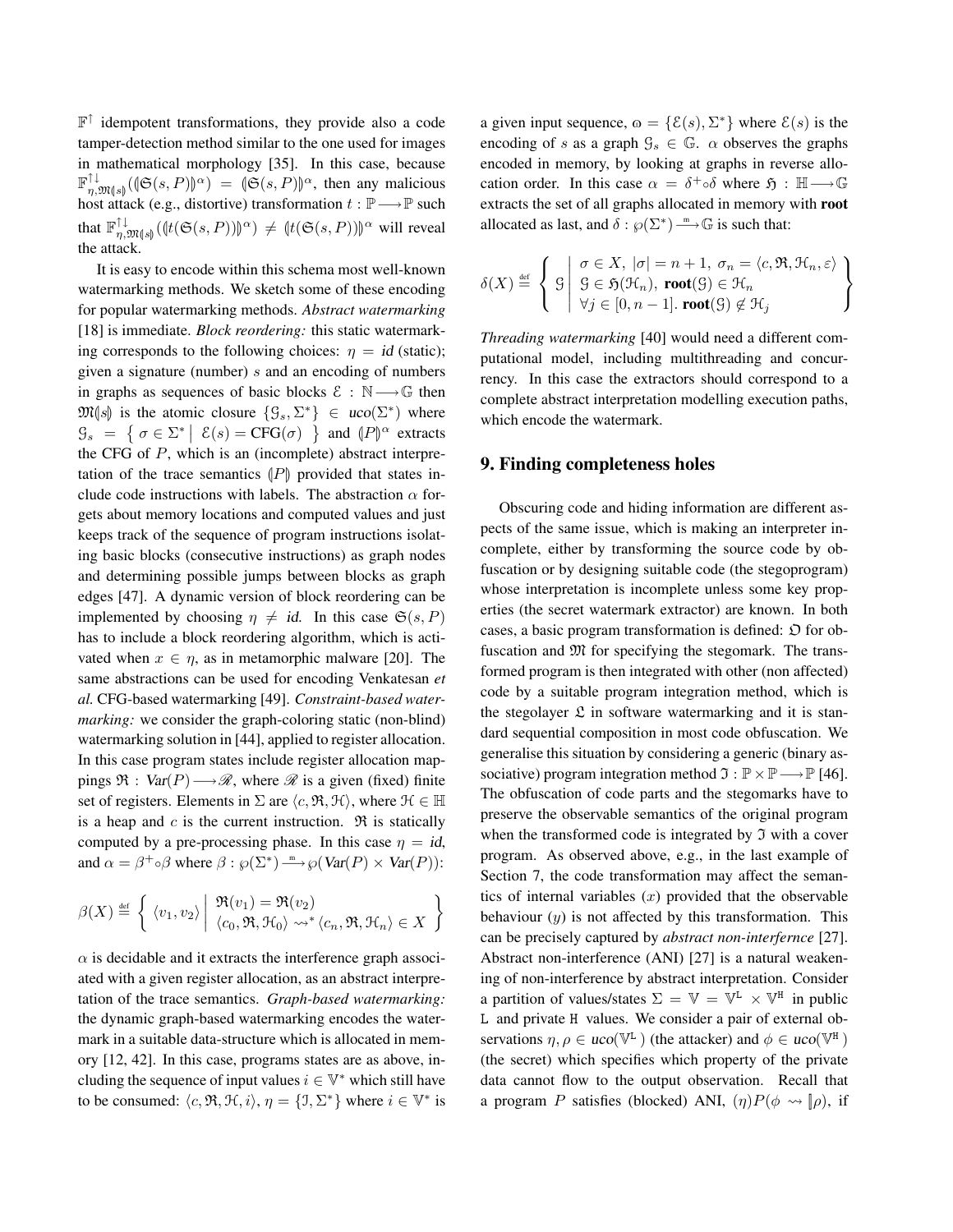F ↑ idempotent transformations, they provide also a code tamper-detection method similar to the one used for images in mathematical morphology [35]. In this case, because  $\mathbb{F}_{n,\mathfrak{M}(s)}^{\uparrow\downarrow}(\mathfrak{g}(s,P)\mathfrak{g}^{\circ}) = (\mathfrak{S}(s,P)\mathfrak{g}^{\circ}, \text{ then any malicious})$  $\lim_{n \to \infty} \lim_{n \to \infty} \frac{\log(|\nabla(\vartheta, 1/n)|)}{n}$  =  $\lim_{n \to \infty} \frac{|\nabla(\vartheta, 1/n)|}{n}$ , then any materials that  $\mathbb{F}_n^{\uparrow \downarrow}$  $\prod_{\substack{\eta,\mathfrak{M}(s)\in\mathfrak{M}}}^{\uparrow\downarrow}(\sharp(\mathfrak{S}(s,P))\mathfrak{h}^{\alpha})\neq \langle\sharp(\mathfrak{S}(s,P))\mathfrak{h}^{\alpha}\rangle$  will reveal the attack.

It is easy to encode within this schema most well-known watermarking methods. We sketch some of these encoding for popular watermarking methods. *Abstract watermarking* [18] is immediate. *Block reordering:* this static watermarking corresponds to the following choices:  $\eta = id$  (static); given a signature (number) s and an encoding of numbers in graphs as sequences of basic blocks  $E : \mathbb{N} \longrightarrow \mathbb{G}$  then  $\mathfrak{M}(s)$  is the atomic closure  $\{S_s, \Sigma^*\}\in \mathfrak{u}(\Sigma^*)$  where  $S_s$  $\mathcal{G}_s = \left\{ \sigma \in \Sigma^* \middle| \mathcal{E}(s) = \text{CFG}(\sigma) \right\}$  and  $\left\{ P \right\}^\alpha$  extracts the CFG of  $P$ , which is an (incomplete) abstract interpretation of the trace semantics  $\langle P \rangle$  provided that states include code instructions with labels. The abstraction  $\alpha$  forgets about memory locations and computed values and just keeps track of the sequence of program instructions isolating basic blocks (consecutive instructions) as graph nodes and determining possible jumps between blocks as graph edges [47]. A dynamic version of block reordering can be implemented by choosing  $\eta \neq id$ . In this case  $\mathfrak{S}(s, P)$ has to include a block reordering algorithm, which is activated when  $x \in \eta$ , as in metamorphic malware [20]. The same abstractions can be used for encoding Venkatesan *et al.* CFG-based watermarking [49]. *Constraint-based watermarking:* we consider the graph-coloring static (non-blind) watermarking solution in [44], applied to register allocation. In this case program states include register allocation mappings  $\mathfrak{R}$  :  $Var(P) \longrightarrow \mathcal{R}$ , where  $\mathcal R$  is a given (fixed) finite set of registers. Elements in  $\Sigma$  are  $\langle c, \mathfrak{R}, \mathfrak{H} \rangle$ , where  $\mathfrak{H} \in \mathbb{H}$ is a heap and  $c$  is the current instruction.  $\Re$  is statically computed by a pre-processing phase. In this case  $\eta = id$ , and  $\alpha = \beta^+ \circ \beta$  where  $\beta : \wp(\Sigma^*) \longrightarrow \wp(\text{Var}(P) \times \text{Var}(P))$ :

$$
\beta(X) \stackrel{\text{def}}{=} \left\{ \langle v_1, v_2 \rangle \middle| \begin{array}{l} \Re(v_1) = \Re(v_2) \\ \langle c_0, \Re, \Im(\mathfrak{c}_0) \leadsto^* \langle c_n, \Re, \Im(\mathfrak{c}_n) \rangle \in X \end{array} \right\}
$$

 $\alpha$  is decidable and it extracts the interference graph associated with a given register allocation, as an abstract interpretation of the trace semantics. *Graph-based watermarking:* the dynamic graph-based watermarking encodes the watermark in a suitable data-structure which is allocated in memory [12, 42]. In this case, programs states are as above, including the sequence of input values  $i \in V^*$  which still have to be consumed:  $\langle c, \mathfrak{R}, \mathfrak{R}, i \rangle$ ,  $\eta = \{ \mathfrak{I}, \Sigma^* \}$  where  $i \in \mathbb{V}^*$  is

a given input sequence,  $\omega = {\mathcal{E}(s), \Sigma^*}$  where  $\mathcal{E}(s)$  is the encoding of s as a graph  $\mathcal{G}_s \in \mathbb{G}$ .  $\alpha$  observes the graphs encoded in memory, by looking at graphs in reverse allocation order. In this case  $\alpha = \delta^+ \circ \delta$  where  $\mathfrak{H} : \mathbb{H} \longrightarrow \mathbb{G}$ extracts the set of all graphs allocated in memory with root allocated as last, and  $\delta$  :  $\wp(\Sigma^*) \longrightarrow \mathbb{G}$  is such that:

$$
\delta(X) \stackrel{\text{def}}{=} \left\{ \begin{array}{l} \mathbf{G} \mid \sigma \in X, \ |\sigma| = n+1, \ \sigma_n = \langle c, \Re, \mathcal{H}_n, \varepsilon \rangle \\ \mathbf{G} \in \mathfrak{H}(\mathcal{H}_n), \ \mathbf{root}(\mathbf{G}) \in \mathcal{H}_n \\ \forall j \in [0, n-1]. \ \mathbf{root}(\mathbf{G}) \not\in \mathcal{H}_j \end{array} \right\}
$$

*Threading watermarking* [40] would need a different computational model, including multithreading and concurrency. In this case the extractors should correspond to a complete abstract interpretation modelling execution paths, which encode the watermark.

### 9. Finding completeness holes

Obscuring code and hiding information are different aspects of the same issue, which is making an interpreter incomplete, either by transforming the source code by obfuscation or by designing suitable code (the stegoprogram) whose interpretation is incomplete unless some key properties (the secret watermark extractor) are known. In both cases, a basic program transformation is defined:  $\mathfrak D$  for obfuscation and  $\mathfrak M$  for specifying the stegomark. The transformed program is then integrated with other (non affected) code by a suitable program integration method, which is the stegolayer  $\mathfrak L$  in software watermarking and it is standard sequential composition in most code obfuscation. We generalise this situation by considering a generic (binary associative) program integration method  $\mathfrak{I} : \mathbb{P} \times \mathbb{P} \longrightarrow \mathbb{P}$  [46]. The obfuscation of code parts and the stegomarks have to preserve the observable semantics of the original program when the transformed code is integrated by  $\mathfrak I$  with a cover program. As observed above, e.g., in the last example of Section 7, the code transformation may affect the semantics of internal variables  $(x)$  provided that the observable behaviour  $(y)$  is not affected by this transformation. This can be precisely captured by *abstract non-interfernce* [27]. Abstract non-interference (ANI) [27] is a natural weakening of non-interference by abstract interpretation. Consider a partition of values/states  $\Sigma = \mathbb{V} = \mathbb{V}^{\mathbb{L}} \times \mathbb{V}^{\mathbb{H}}$  in public L and private H values. We consider a pair of external observations  $\eta, \rho \in uco(\mathbb{V}^L)$  (the attacker) and  $\phi \in uco(\mathbb{V}^H)$ (the secret) which specifies which property of the private data cannot flow to the output observation. Recall that a program P satisfies (blocked) ANI,  $(\eta)P(\phi \leadsto \|\rho)$ , if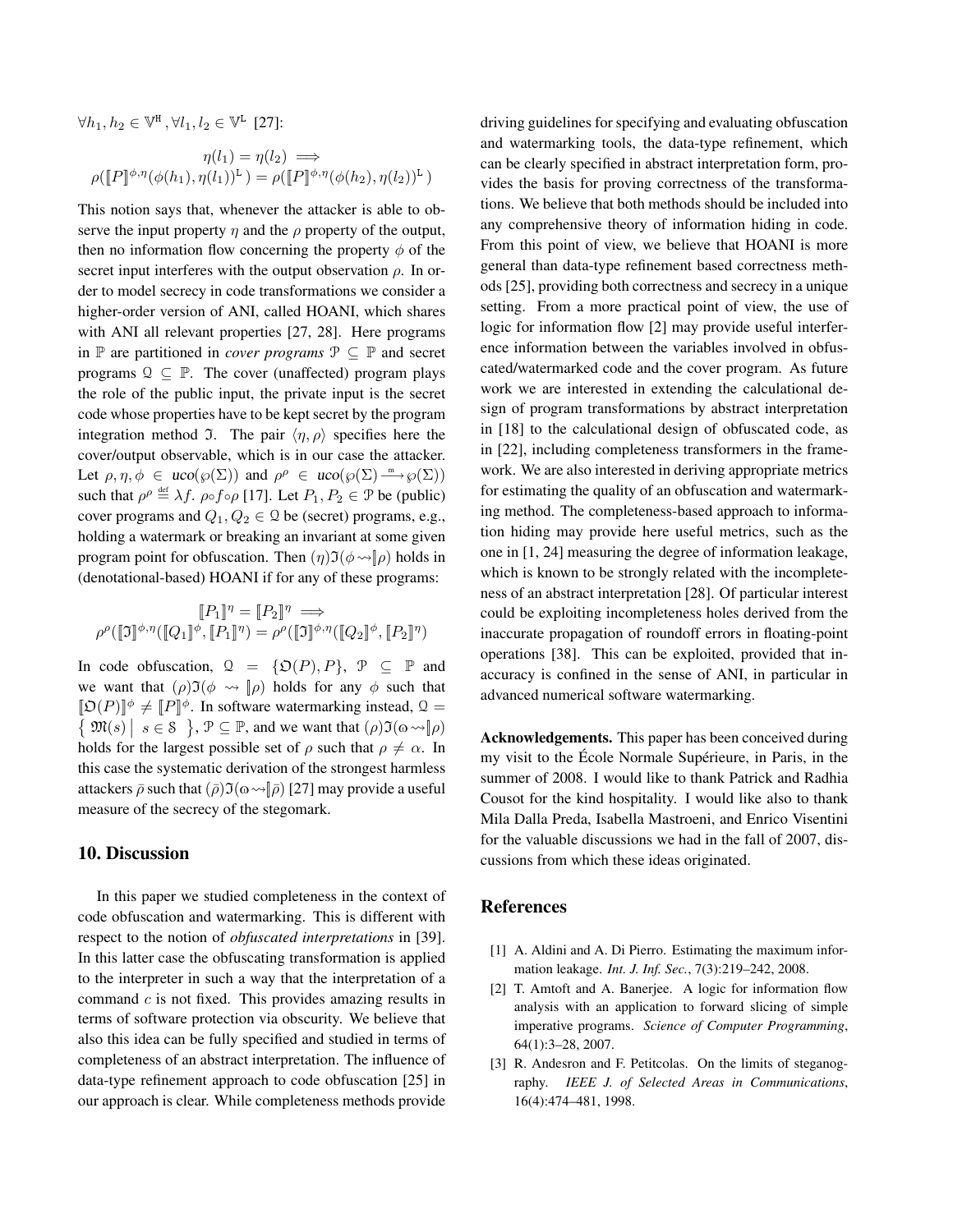$\forall h_1, h_2 \in \mathbb{V}^{\mathsf{H}}$ ,  $\forall l_1, l_2 \in \mathbb{V}^{\mathsf{L}}$  [27]:

$$
\eta(l_1) = \eta(l_2) \implies \rho([\![P]\!]^{\phi,\eta}(\phi(h_1),\eta(l_1))^{\mathbb{L}}) = \rho([\![P]\!]^{\phi,\eta}(\phi(h_2),\eta(l_2))^{\mathbb{L}})
$$

This notion says that, whenever the attacker is able to observe the input property  $\eta$  and the  $\rho$  property of the output, then no information flow concerning the property  $\phi$  of the secret input interferes with the output observation  $\rho$ . In order to model secrecy in code transformations we consider a higher-order version of ANI, called HOANI, which shares with ANI all relevant properties [27, 28]. Here programs in  $\mathbb P$  are partitioned in *cover programs*  $\mathcal P \subseteq \mathbb P$  and secret programs  $\mathcal{Q} \subset \mathbb{P}$ . The cover (unaffected) program plays the role of the public input, the private input is the secret code whose properties have to be kept secret by the program integration method J. The pair  $\langle \eta, \rho \rangle$  specifies here the cover/output observable, which is in our case the attacker. Let  $\rho, \eta, \phi \in uco(\wp(\Sigma))$  and  $\rho^{\rho} \in uco(\wp(\Sigma)) \longrightarrow \wp(\Sigma))$ such that  $\rho^{\rho} \stackrel{\text{def}}{=} \lambda f$ .  $\rho \circ f \circ \rho$  [17]. Let  $P_1, P_2 \in \mathcal{P}$  be (public) cover programs and  $Q_1, Q_2 \in \mathcal{Q}$  be (secret) programs, e.g., holding a watermark or breaking an invariant at some given program point for obfuscation. Then  $(\eta) \mathfrak{I}(\phi \rightarrow \phi)$  holds in (denotational-based) HOANI if for any of these programs:

$$
\begin{aligned} [\![P_1]\!]^\eta = [\![P_2]\!]^\eta \implies \\ \rho^{\rho}([\![\mathfrak{I}]\!]^{\phi,\eta}([\![Q_1]\!]^{\phi},[\![P_1]\!]^\eta) = \rho^{\rho}([\![\mathfrak{I}]\!]^{\phi,\eta}([\![Q_2]\!]^{\phi},[\![P_2]\!]^\eta) \end{aligned}
$$

In code obfuscation,  $\mathcal{Q} = {\{\mathfrak{O}(P), P\}}$ ,  $\mathcal{P} \subseteq \mathbb{P}$  and we want that  $(\rho) \mathfrak{I}(\phi \rightsquigarrow \|\rho)$  holds for any  $\phi$  such that  $[\![\mathfrak{O}(P)]\!]^\phi \neq [\![P]\!]^\phi$ . In software watermarking instead,  $\mathfrak{Q} =$  $\{ \mathfrak{M}(s) \mid s \in \mathcal{S} \}$ ,  $\mathcal{P} \subseteq \mathbb{P}$ , and we want that  $(\rho) \mathfrak{I}(\omega \rightarrow \|\rho)$ holds for the largest possible set of  $\rho$  such that  $\rho \neq \alpha$ . In this case the systematic derivation of the strongest harmless attackers  $\bar{\rho}$  such that  $(\bar{\rho})\mathfrak{I}(\omega \rightarrow \|\bar{\rho})$  [27] may provide a useful measure of the secrecy of the stegomark.

# 10. Discussion

In this paper we studied completeness in the context of code obfuscation and watermarking. This is different with respect to the notion of *obfuscated interpretations* in [39]. In this latter case the obfuscating transformation is applied to the interpreter in such a way that the interpretation of a command c is not fixed. This provides amazing results in terms of software protection via obscurity. We believe that also this idea can be fully specified and studied in terms of completeness of an abstract interpretation. The influence of data-type refinement approach to code obfuscation [25] in our approach is clear. While completeness methods provide

driving guidelines for specifying and evaluating obfuscation and watermarking tools, the data-type refinement, which can be clearly specified in abstract interpretation form, provides the basis for proving correctness of the transformations. We believe that both methods should be included into any comprehensive theory of information hiding in code. From this point of view, we believe that HOANI is more general than data-type refinement based correctness methods [25], providing both correctness and secrecy in a unique setting. From a more practical point of view, the use of logic for information flow [2] may provide useful interference information between the variables involved in obfuscated/watermarked code and the cover program. As future work we are interested in extending the calculational design of program transformations by abstract interpretation in [18] to the calculational design of obfuscated code, as in [22], including completeness transformers in the framework. We are also interested in deriving appropriate metrics for estimating the quality of an obfuscation and watermarking method. The completeness-based approach to information hiding may provide here useful metrics, such as the one in [1, 24] measuring the degree of information leakage, which is known to be strongly related with the incompleteness of an abstract interpretation [28]. Of particular interest could be exploiting incompleteness holes derived from the inaccurate propagation of roundoff errors in floating-point operations [38]. This can be exploited, provided that inaccuracy is confined in the sense of ANI, in particular in advanced numerical software watermarking.

Acknowledgements. This paper has been conceived during my visit to the École Normale Supérieure, in Paris, in the summer of 2008. I would like to thank Patrick and Radhia Cousot for the kind hospitality. I would like also to thank Mila Dalla Preda, Isabella Mastroeni, and Enrico Visentini for the valuable discussions we had in the fall of 2007, discussions from which these ideas originated.

# References

- [1] A. Aldini and A. Di Pierro. Estimating the maximum information leakage. *Int. J. Inf. Sec.*, 7(3):219–242, 2008.
- [2] T. Amtoft and A. Banerjee. A logic for information flow analysis with an application to forward slicing of simple imperative programs. *Science of Computer Programming*, 64(1):3–28, 2007.
- [3] R. Andesron and F. Petitcolas. On the limits of steganography. *IEEE J. of Selected Areas in Communications*, 16(4):474–481, 1998.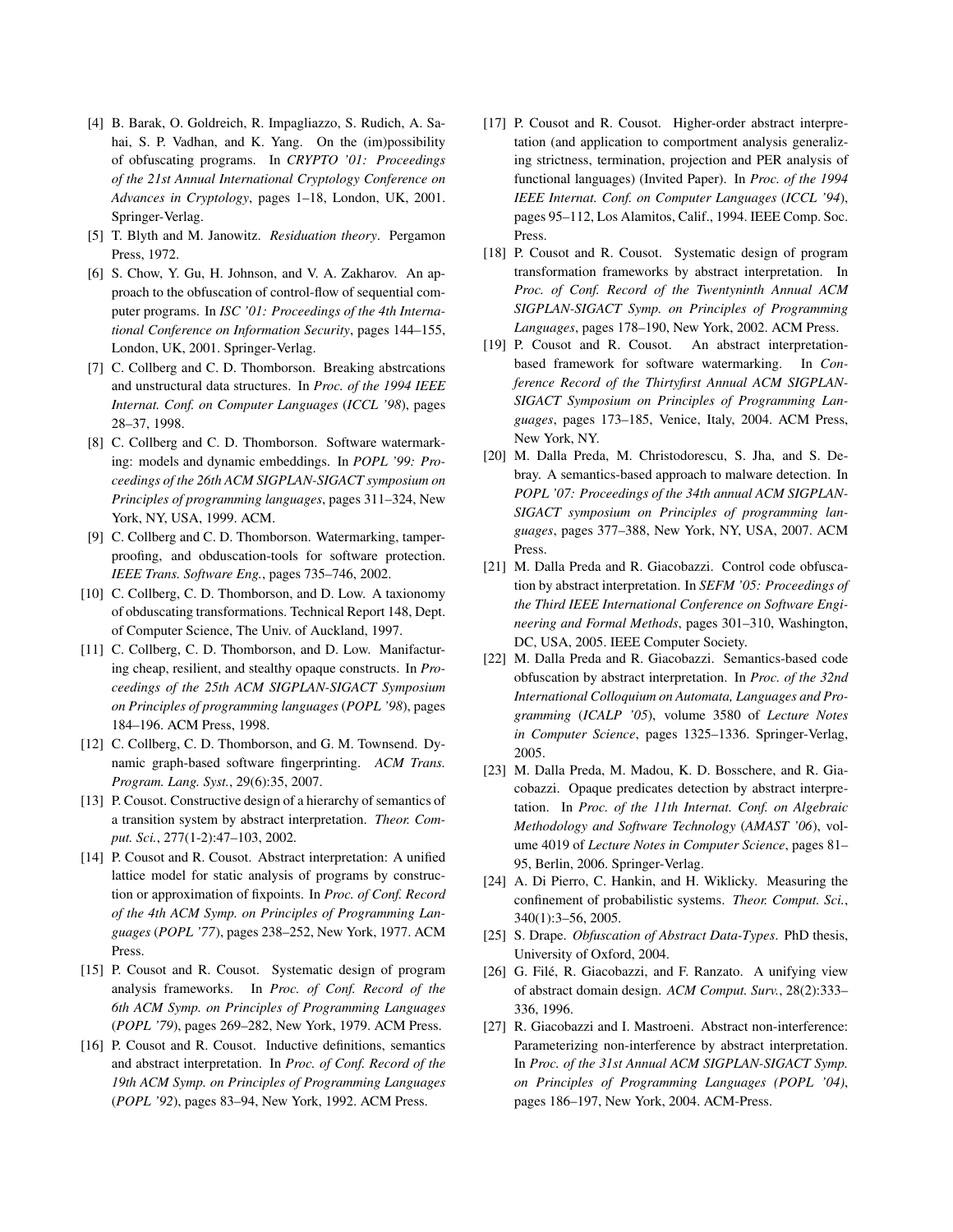- [4] B. Barak, O. Goldreich, R. Impagliazzo, S. Rudich, A. Sahai, S. P. Vadhan, and K. Yang. On the (im)possibility of obfuscating programs. In *CRYPTO '01: Proceedings of the 21st Annual International Cryptology Conference on Advances in Cryptology*, pages 1–18, London, UK, 2001. Springer-Verlag.
- [5] T. Blyth and M. Janowitz. *Residuation theory*. Pergamon Press, 1972.
- [6] S. Chow, Y. Gu, H. Johnson, and V. A. Zakharov. An approach to the obfuscation of control-flow of sequential computer programs. In *ISC '01: Proceedings of the 4th International Conference on Information Security*, pages 144–155, London, UK, 2001. Springer-Verlag.
- [7] C. Collberg and C. D. Thomborson. Breaking abstrcations and unstructural data structures. In *Proc. of the 1994 IEEE Internat. Conf. on Computer Languages* (*ICCL '98*), pages 28–37, 1998.
- [8] C. Collberg and C. D. Thomborson. Software watermarking: models and dynamic embeddings. In *POPL '99: Proceedings of the 26th ACM SIGPLAN-SIGACT symposium on Principles of programming languages*, pages 311–324, New York, NY, USA, 1999. ACM.
- [9] C. Collberg and C. D. Thomborson. Watermarking, tamperproofing, and obduscation-tools for software protection. *IEEE Trans. Software Eng.*, pages 735–746, 2002.
- [10] C. Collberg, C. D. Thomborson, and D. Low. A taxionomy of obduscating transformations. Technical Report 148, Dept. of Computer Science, The Univ. of Auckland, 1997.
- [11] C. Collberg, C. D. Thomborson, and D. Low. Manifacturing cheap, resilient, and stealthy opaque constructs. In *Proceedings of the 25th ACM SIGPLAN-SIGACT Symposium on Principles of programming languages* (*POPL '98*), pages 184–196. ACM Press, 1998.
- [12] C. Collberg, C. D. Thomborson, and G. M. Townsend. Dynamic graph-based software fingerprinting. *ACM Trans. Program. Lang. Syst.*, 29(6):35, 2007.
- [13] P. Cousot. Constructive design of a hierarchy of semantics of a transition system by abstract interpretation. *Theor. Comput. Sci.*, 277(1-2):47–103, 2002.
- [14] P. Cousot and R. Cousot. Abstract interpretation: A unified lattice model for static analysis of programs by construction or approximation of fixpoints. In *Proc. of Conf. Record of the 4th ACM Symp. on Principles of Programming Languages* (*POPL '77*), pages 238–252, New York, 1977. ACM Press.
- [15] P. Cousot and R. Cousot. Systematic design of program analysis frameworks. In *Proc. of Conf. Record of the 6th ACM Symp. on Principles of Programming Languages* (*POPL '79*), pages 269–282, New York, 1979. ACM Press.
- [16] P. Cousot and R. Cousot. Inductive definitions, semantics and abstract interpretation. In *Proc. of Conf. Record of the 19th ACM Symp. on Principles of Programming Languages* (*POPL '92*), pages 83–94, New York, 1992. ACM Press.
- [17] P. Cousot and R. Cousot. Higher-order abstract interpretation (and application to comportment analysis generalizing strictness, termination, projection and PER analysis of functional languages) (Invited Paper). In *Proc. of the 1994 IEEE Internat. Conf. on Computer Languages* (*ICCL '94*), pages 95–112, Los Alamitos, Calif., 1994. IEEE Comp. Soc. Press.
- [18] P. Cousot and R. Cousot. Systematic design of program transformation frameworks by abstract interpretation. In *Proc. of Conf. Record of the Twentyninth Annual ACM SIGPLAN-SIGACT Symp. on Principles of Programming Languages*, pages 178–190, New York, 2002. ACM Press.
- [19] P. Cousot and R. Cousot. An abstract interpretationbased framework for software watermarking. In *Conference Record of the Thirtyfirst Annual ACM SIGPLAN-SIGACT Symposium on Principles of Programming Languages*, pages 173–185, Venice, Italy, 2004. ACM Press, New York, NY.
- [20] M. Dalla Preda, M. Christodorescu, S. Jha, and S. Debray. A semantics-based approach to malware detection. In *POPL '07: Proceedings of the 34th annual ACM SIGPLAN-SIGACT symposium on Principles of programming languages*, pages 377–388, New York, NY, USA, 2007. ACM Press.
- [21] M. Dalla Preda and R. Giacobazzi. Control code obfuscation by abstract interpretation. In *SEFM '05: Proceedings of the Third IEEE International Conference on Software Engineering and Formal Methods*, pages 301–310, Washington, DC, USA, 2005. IEEE Computer Society.
- [22] M. Dalla Preda and R. Giacobazzi. Semantics-based code obfuscation by abstract interpretation. In *Proc. of the 32nd International Colloquium on Automata, Languages and Programming* (*ICALP '05*), volume 3580 of *Lecture Notes in Computer Science*, pages 1325–1336. Springer-Verlag, 2005.
- [23] M. Dalla Preda, M. Madou, K. D. Bosschere, and R. Giacobazzi. Opaque predicates detection by abstract interpretation. In *Proc. of the 11th Internat. Conf. on Algebraic Methodology and Software Technology* (*AMAST '06*), volume 4019 of *Lecture Notes in Computer Science*, pages 81– 95, Berlin, 2006. Springer-Verlag.
- [24] A. Di Pierro, C. Hankin, and H. Wiklicky. Measuring the confinement of probabilistic systems. *Theor. Comput. Sci.*, 340(1):3–56, 2005.
- [25] S. Drape. *Obfuscation of Abstract Data-Types*. PhD thesis, University of Oxford, 2004.
- [26] G. Filé, R. Giacobazzi, and F. Ranzato. A unifying view of abstract domain design. *ACM Comput. Surv.*, 28(2):333– 336, 1996.
- [27] R. Giacobazzi and I. Mastroeni. Abstract non-interference: Parameterizing non-interference by abstract interpretation. In *Proc. of the 31st Annual ACM SIGPLAN-SIGACT Symp. on Principles of Programming Languages (POPL '04)*, pages 186–197, New York, 2004. ACM-Press.